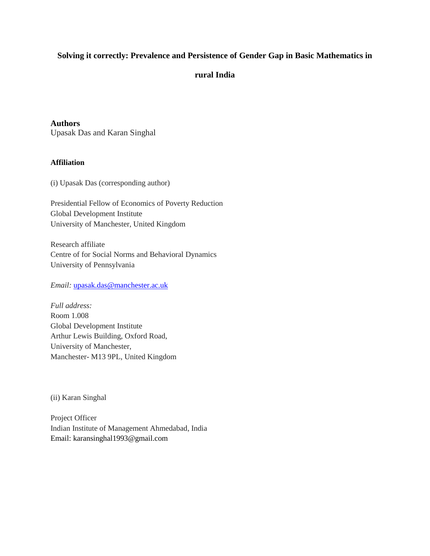# **Solving it correctly: Prevalence and Persistence of Gender Gap in Basic Mathematics in**

# **rural India**

**Authors**

Upasak Das and Karan Singhal

# **Affiliation**

(i) Upasak Das (corresponding author)

Presidential Fellow of Economics of Poverty Reduction Global Development Institute University of Manchester, United Kingdom

Research affiliate Centre of for Social Norms and Behavioral Dynamics University of Pennsylvania

*Email:* [upasak.das@manchester.ac.uk](mailto:upasak.das@manchester.ac.uk)

*Full address:*  Room 1.008 Global Development Institute Arthur Lewis Building, Oxford Road, University of Manchester, Manchester- M13 9PL, United Kingdom

(ii) Karan Singhal

Project Officer Indian Institute of Management Ahmedabad, India Email: karansinghal1993@gmail.com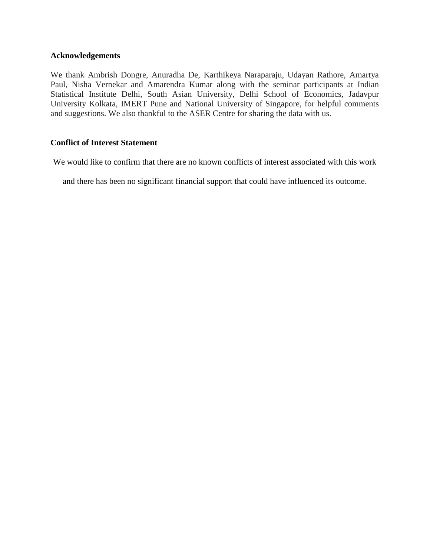## **Acknowledgements**

We thank Ambrish Dongre, Anuradha De, Karthikeya Naraparaju, Udayan Rathore, Amartya Paul, Nisha Vernekar and Amarendra Kumar along with the seminar participants at Indian Statistical Institute Delhi, South Asian University, Delhi School of Economics, Jadavpur University Kolkata, IMERT Pune and National University of Singapore, for helpful comments and suggestions. We also thankful to the ASER Centre for sharing the data with us.

# **Conflict of Interest Statement**

We would like to confirm that there are no known conflicts of interest associated with this work

and there has been no significant financial support that could have influenced its outcome.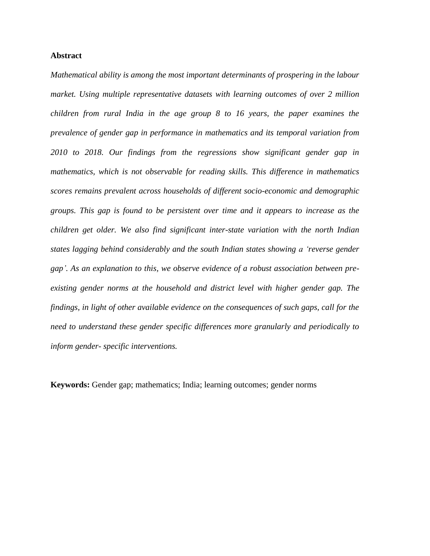## **Abstract**

*Mathematical ability is among the most important determinants of prospering in the labour market. Using multiple representative datasets with learning outcomes of over 2 million children from rural India in the age group 8 to 16 years, the paper examines the prevalence of gender gap in performance in mathematics and its temporal variation from 2010 to 2018. Our findings from the regressions show significant gender gap in mathematics, which is not observable for reading skills. This difference in mathematics scores remains prevalent across households of different socio-economic and demographic groups. This gap is found to be persistent over time and it appears to increase as the children get older. We also find significant inter-state variation with the north Indian states lagging behind considerably and the south Indian states showing a "reverse gender gap". As an explanation to this, we observe evidence of a robust association between preexisting gender norms at the household and district level with higher gender gap. The findings, in light of other available evidence on the consequences of such gaps, call for the need to understand these gender specific differences more granularly and periodically to inform gender- specific interventions.* 

**Keywords:** Gender gap; mathematics; India; learning outcomes; gender norms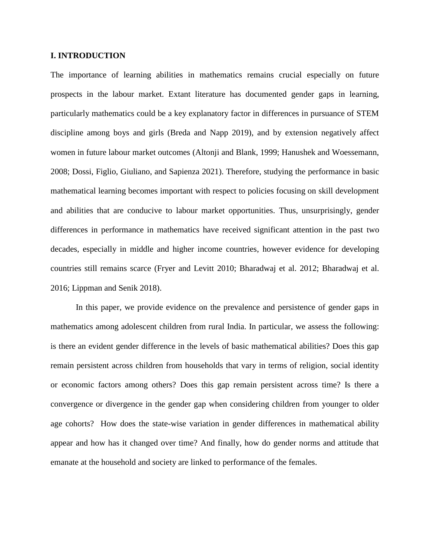## **I. INTRODUCTION**

The importance of learning abilities in mathematics remains crucial especially on future prospects in the labour market. Extant literature has documented gender gaps in learning, particularly mathematics could be a key explanatory factor in differences in pursuance of STEM discipline among boys and girls (Breda and Napp 2019), and by extension negatively affect women in future labour market outcomes (Altonji and Blank, 1999; Hanushek and Woessemann, 2008; Dossi, Figlio, Giuliano, and Sapienza 2021). Therefore, studying the performance in basic mathematical learning becomes important with respect to policies focusing on skill development and abilities that are conducive to labour market opportunities. Thus, unsurprisingly, gender differences in performance in mathematics have received significant attention in the past two decades, especially in middle and higher income countries, however evidence for developing countries still remains scarce (Fryer and Levitt 2010; Bharadwaj et al. 2012; Bharadwaj et al. 2016; Lippman and Senik 2018).

In this paper, we provide evidence on the prevalence and persistence of gender gaps in mathematics among adolescent children from rural India. In particular, we assess the following: is there an evident gender difference in the levels of basic mathematical abilities? Does this gap remain persistent across children from households that vary in terms of religion, social identity or economic factors among others? Does this gap remain persistent across time? Is there a convergence or divergence in the gender gap when considering children from younger to older age cohorts? How does the state-wise variation in gender differences in mathematical ability appear and how has it changed over time? And finally, how do gender norms and attitude that emanate at the household and society are linked to performance of the females.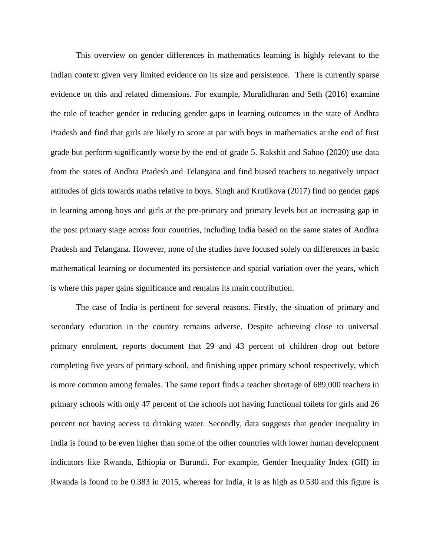This overview on gender differences in mathematics learning is highly relevant to the Indian context given very limited evidence on its size and persistence. There is currently sparse evidence on this and related dimensions. For example, Muralidharan and Seth (2016) examine the role of teacher gender in reducing gender gaps in learning outcomes in the state of Andhra Pradesh and find that girls are likely to score at par with boys in mathematics at the end of first grade but perform significantly worse by the end of grade 5. Rakshit and Sahoo (2020) use data from the states of Andhra Pradesh and Telangana and find biased teachers to negatively impact attitudes of girls towards maths relative to boys. Singh and Krutikova (2017) find no gender gaps in learning among boys and girls at the pre-primary and primary levels but an increasing gap in the post primary stage across four countries, including India based on the same states of Andhra Pradesh and Telangana. However, none of the studies have focused solely on differences in basic mathematical learning or documented its persistence and spatial variation over the years, which is where this paper gains significance and remains its main contribution.

The case of India is pertinent for several reasons. Firstly, the situation of primary and secondary education in the country remains adverse. Despite achieving close to universal primary enrolment, reports document that 29 and 43 percent of children drop out before completing five years of primary school, and finishing upper primary school respectively, which is more common among females. The same report finds a teacher shortage of 689,000 teachers in primary schools with only 47 percent of the schools not having functional toilets for girls and 26 percent not having access to drinking water. Secondly, data suggests that gender inequality in India is found to be even higher than some of the other countries with lower human development indicators like Rwanda, Ethiopia or Burundi. For example, Gender Inequality Index (GII) in Rwanda is found to be 0.383 in 2015, whereas for India, it is as high as 0.530 and this figure is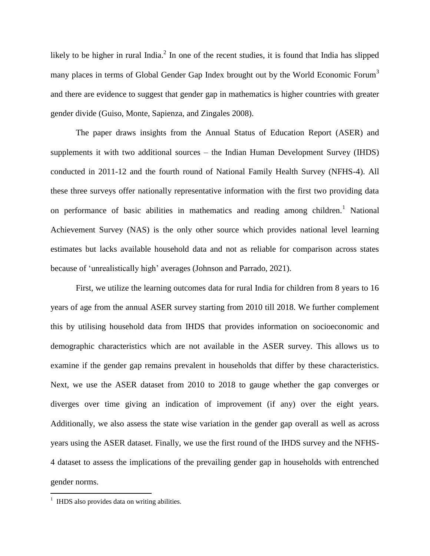likely to be higher in rural India. $^2$  In one of the recent studies, it is found that India has slipped many places in terms of Global Gender Gap Index brought out by the World Economic Forum<sup>3</sup> and there are evidence to suggest that gender gap in mathematics is higher countries with greater gender divide (Guiso, Monte, Sapienza, and Zingales 2008).

The paper draws insights from the Annual Status of Education Report (ASER) and supplements it with two additional sources – the Indian Human Development Survey (IHDS) conducted in 2011-12 and the fourth round of National Family Health Survey (NFHS-4). All these three surveys offer nationally representative information with the first two providing data on performance of basic abilities in mathematics and reading among children.<sup>1</sup> National Achievement Survey (NAS) is the only other source which provides national level learning estimates but lacks available household data and not as reliable for comparison across states because of 'unrealistically high' averages (Johnson and Parrado, 2021).

First, we utilize the learning outcomes data for rural India for children from 8 years to 16 years of age from the annual ASER survey starting from 2010 till 2018. We further complement this by utilising household data from IHDS that provides information on socioeconomic and demographic characteristics which are not available in the ASER survey. This allows us to examine if the gender gap remains prevalent in households that differ by these characteristics. Next, we use the ASER dataset from 2010 to 2018 to gauge whether the gap converges or diverges over time giving an indication of improvement (if any) over the eight years. Additionally, we also assess the state wise variation in the gender gap overall as well as across years using the ASER dataset. Finally, we use the first round of the IHDS survey and the NFHS-4 dataset to assess the implications of the prevailing gender gap in households with entrenched gender norms.

 $\overline{a}$ 

<sup>&</sup>lt;sup>1</sup> IHDS also provides data on writing abilities.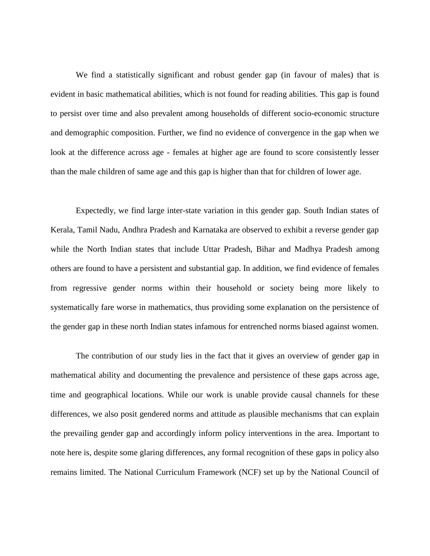We find a statistically significant and robust gender gap (in favour of males) that is evident in basic mathematical abilities, which is not found for reading abilities. This gap is found to persist over time and also prevalent among households of different socio-economic structure and demographic composition. Further, we find no evidence of convergence in the gap when we look at the difference across age - females at higher age are found to score consistently lesser than the male children of same age and this gap is higher than that for children of lower age.

Expectedly, we find large inter-state variation in this gender gap. South Indian states of Kerala, Tamil Nadu, Andhra Pradesh and Karnataka are observed to exhibit a reverse gender gap while the North Indian states that include Uttar Pradesh, Bihar and Madhya Pradesh among others are found to have a persistent and substantial gap. In addition, we find evidence of females from regressive gender norms within their household or society being more likely to systematically fare worse in mathematics, thus providing some explanation on the persistence of the gender gap in these north Indian states infamous for entrenched norms biased against women.

The contribution of our study lies in the fact that it gives an overview of gender gap in mathematical ability and documenting the prevalence and persistence of these gaps across age, time and geographical locations. While our work is unable provide causal channels for these differences, we also posit gendered norms and attitude as plausible mechanisms that can explain the prevailing gender gap and accordingly inform policy interventions in the area. Important to note here is, despite some glaring differences, any formal recognition of these gaps in policy also remains limited. The National Curriculum Framework (NCF) set up by the National Council of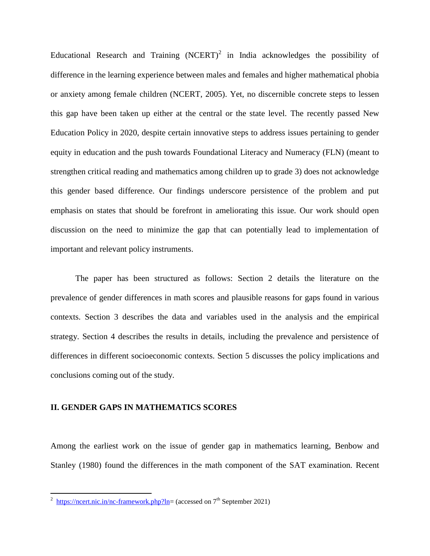Educational Research and Training  $(NCERT)^2$  in India acknowledges the possibility of difference in the learning experience between males and females and higher mathematical phobia or anxiety among female children (NCERT, 2005). Yet, no discernible concrete steps to lessen this gap have been taken up either at the central or the state level. The recently passed New Education Policy in 2020, despite certain innovative steps to address issues pertaining to gender equity in education and the push towards Foundational Literacy and Numeracy (FLN) (meant to strengthen critical reading and mathematics among children up to grade 3) does not acknowledge this gender based difference. Our findings underscore persistence of the problem and put emphasis on states that should be forefront in ameliorating this issue. Our work should open discussion on the need to minimize the gap that can potentially lead to implementation of important and relevant policy instruments.

The paper has been structured as follows: Section 2 details the literature on the prevalence of gender differences in math scores and plausible reasons for gaps found in various contexts. Section 3 describes the data and variables used in the analysis and the empirical strategy. Section 4 describes the results in details, including the prevalence and persistence of differences in different socioeconomic contexts. Section 5 discusses the policy implications and conclusions coming out of the study.

## **II. GENDER GAPS IN MATHEMATICS SCORES**

Among the earliest work on the issue of gender gap in mathematics learning, Benbow and Stanley (1980) found the differences in the math component of the SAT examination. Recent

 $\frac{2 \text{ https://ncert.nic.in/nc-framework.php?ln=}}{2 \text{ https://ncert.nic.in/nc-framework.php?ln=}}$  $\frac{2 \text{ https://ncert.nic.in/nc-framework.php?ln=}}{2 \text{ https://ncert.nic.in/nc-framework.php?ln=}}$  $\frac{2 \text{ https://ncert.nic.in/nc-framework.php?ln=}}{2 \text{ https://ncert.nic.in/nc-framework.php?ln=}}$  (accessed on  $7^{\text{th}}$  September 2021)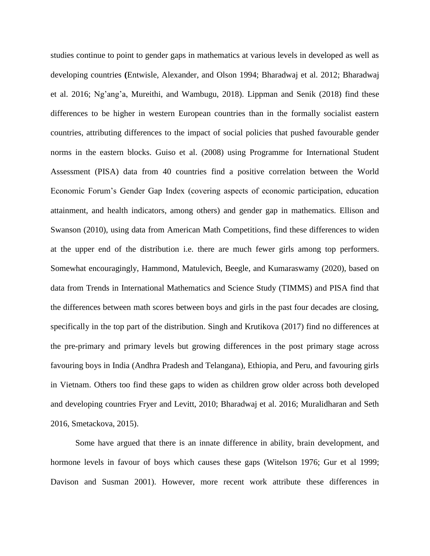studies continue to point to gender gaps in mathematics at various levels in developed as well as developing countries **(**Entwisle, Alexander, and Olson 1994; Bharadwaj et al. 2012; Bharadwaj et al. 2016; Ng'ang'a, Mureithi, and Wambugu, 2018). Lippman and Senik (2018) find these differences to be higher in western European countries than in the formally socialist eastern countries, attributing differences to the impact of social policies that pushed favourable gender norms in the eastern blocks. Guiso et al. (2008) using Programme for International Student Assessment (PISA) data from 40 countries find a positive correlation between the World Economic Forum's Gender Gap Index (covering aspects of economic participation, education attainment, and health indicators, among others) and gender gap in mathematics. Ellison and Swanson (2010), using data from American Math Competitions, find these differences to widen at the upper end of the distribution i.e. there are much fewer girls among top performers. Somewhat encouragingly, Hammond, Matulevich, Beegle, and Kumaraswamy (2020), based on data from Trends in International Mathematics and Science Study (TIMMS) and PISA find that the differences between math scores between boys and girls in the past four decades are closing, specifically in the top part of the distribution. Singh and Krutikova (2017) find no differences at the pre-primary and primary levels but growing differences in the post primary stage across favouring boys in India (Andhra Pradesh and Telangana), Ethiopia, and Peru, and favouring girls in Vietnam. Others too find these gaps to widen as children grow older across both developed and developing countries Fryer and Levitt, 2010; Bharadwaj et al. 2016; Muralidharan and Seth 2016, Smetackova, 2015).

Some have argued that there is an innate difference in ability, brain development, and hormone levels in favour of boys which causes these gaps (Witelson 1976; Gur et al 1999; Davison and Susman 2001). However, more recent work attribute these differences in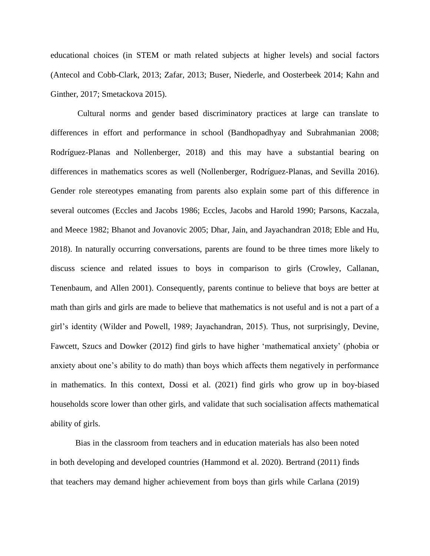educational choices (in STEM or math related subjects at higher levels) and social factors (Antecol and Cobb-Clark, 2013; Zafar, 2013; Buser, Niederle, and Oosterbeek 2014; Kahn and Ginther, 2017; Smetackova 2015).

Cultural norms and gender based discriminatory practices at large can translate to differences in effort and performance in school (Bandhopadhyay and Subrahmanian 2008; Rodríguez-Planas and Nollenberger, 2018) and this may have a substantial bearing on differences in mathematics scores as well (Nollenberger, Rodríguez-Planas, and Sevilla 2016). Gender role stereotypes emanating from parents also explain some part of this difference in several outcomes (Eccles and Jacobs 1986; Eccles, Jacobs and Harold 1990; Parsons, Kaczala, and Meece 1982; Bhanot and Jovanovic 2005; Dhar, Jain, and Jayachandran 2018; Eble and Hu, 2018). In naturally occurring conversations, parents are found to be three times more likely to discuss science and related issues to boys in comparison to girls (Crowley, Callanan, Tenenbaum, and Allen 2001). Consequently, parents continue to believe that boys are better at math than girls and girls are made to believe that mathematics is not useful and is not a part of a girl's identity (Wilder and Powell, 1989; Jayachandran, 2015). Thus, not surprisingly, Devine, Fawcett, Szucs and Dowker (2012) find girls to have higher 'mathematical anxiety' (phobia or anxiety about one's ability to do math) than boys which affects them negatively in performance in mathematics. In this context, Dossi et al. (2021) find girls who grow up in boy-biased households score lower than other girls, and validate that such socialisation affects mathematical ability of girls.

Bias in the classroom from teachers and in education materials has also been noted in both developing and developed countries (Hammond et al. 2020). Bertrand (2011) finds that teachers may demand higher achievement from boys than girls while Carlana (2019)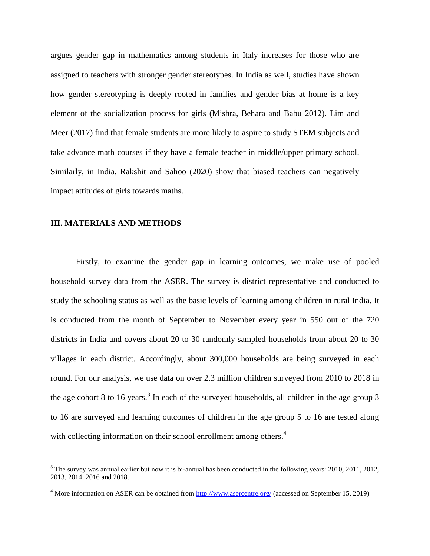argues gender gap in mathematics among students in Italy increases for those who are assigned to teachers with stronger gender stereotypes. In India as well, studies have shown how gender stereotyping is deeply rooted in families and gender bias at home is a key element of the socialization process for girls (Mishra, Behara and Babu 2012). Lim and Meer (2017) find that female students are more likely to aspire to study STEM subjects and take advance math courses if they have a female teacher in middle/upper primary school. Similarly, in India, Rakshit and Sahoo (2020) show that biased teachers can negatively impact attitudes of girls towards maths.

#### **III. MATERIALS AND METHODS**

 $\overline{a}$ 

Firstly, to examine the gender gap in learning outcomes, we make use of pooled household survey data from the ASER. The survey is district representative and conducted to study the schooling status as well as the basic levels of learning among children in rural India. It is conducted from the month of September to November every year in 550 out of the 720 districts in India and covers about 20 to 30 randomly sampled households from about 20 to 30 villages in each district. Accordingly, about 300,000 households are being surveyed in each round. For our analysis, we use data on over 2.3 million children surveyed from 2010 to 2018 in the age cohort 8 to 16 years.<sup>3</sup> In each of the surveyed households, all children in the age group 3 to 16 are surveyed and learning outcomes of children in the age group 5 to 16 are tested along with collecting information on their school enrollment among others.<sup>4</sup>

 $3$  The survey was annual earlier but now it is bi-annual has been conducted in the following years: 2010, 2011, 2012, 2013, 2014, 2016 and 2018.

<sup>&</sup>lt;sup>4</sup> More information on ASER can be obtained from<http://www.asercentre.org/> (accessed on September 15, 2019)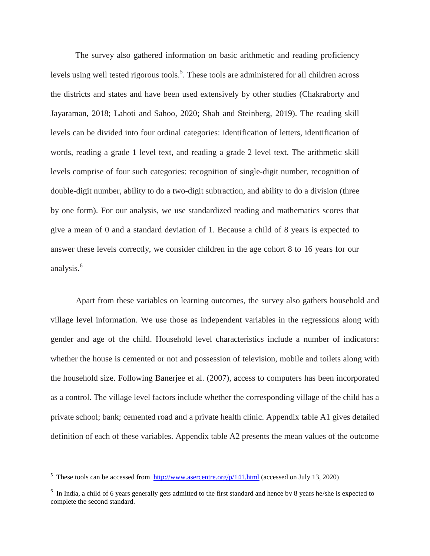The survey also gathered information on basic arithmetic and reading proficiency levels using well tested rigorous tools.<sup>5</sup>. These tools are administered for all children across the districts and states and have been used extensively by other studies (Chakraborty and Jayaraman, 2018; Lahoti and Sahoo, 2020; Shah and Steinberg, 2019). The reading skill levels can be divided into four ordinal categories: identification of letters, identification of words, reading a grade 1 level text, and reading a grade 2 level text. The arithmetic skill levels comprise of four such categories: recognition of single-digit number, recognition of double-digit number, ability to do a two-digit subtraction, and ability to do a division (three by one form). For our analysis, we use standardized reading and mathematics scores that give a mean of 0 and a standard deviation of 1. Because a child of 8 years is expected to answer these levels correctly, we consider children in the age cohort 8 to 16 years for our analysis.<sup>6</sup>

Apart from these variables on learning outcomes, the survey also gathers household and village level information. We use those as independent variables in the regressions along with gender and age of the child. Household level characteristics include a number of indicators: whether the house is cemented or not and possession of television, mobile and toilets along with the household size. Following Banerjee et al. (2007), access to computers has been incorporated as a control. The village level factors include whether the corresponding village of the child has a private school; bank; cemented road and a private health clinic. Appendix table A1 gives detailed definition of each of these variables. Appendix table A2 presents the mean values of the outcome

 $\overline{a}$ 

<sup>&</sup>lt;sup>5</sup> These tools can be accessed from  $\frac{http://www.asercentre.org/p/141.html}{http://www.asercentre.org/p/141.html}$  $\frac{http://www.asercentre.org/p/141.html}{http://www.asercentre.org/p/141.html}$  $\frac{http://www.asercentre.org/p/141.html}{http://www.asercentre.org/p/141.html}$  (accessed on July 13, 2020)

 $6\;$  In India, a child of 6 years generally gets admitted to the first standard and hence by 8 years he/she is expected to complete the second standard.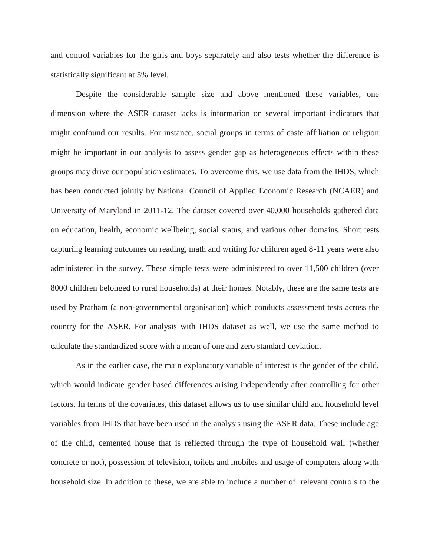and control variables for the girls and boys separately and also tests whether the difference is statistically significant at 5% level.

Despite the considerable sample size and above mentioned these variables, one dimension where the ASER dataset lacks is information on several important indicators that might confound our results. For instance, social groups in terms of caste affiliation or religion might be important in our analysis to assess gender gap as heterogeneous effects within these groups may drive our population estimates. To overcome this, we use data from the IHDS, which has been conducted jointly by National Council of Applied Economic Research (NCAER) and University of Maryland in 2011-12. The dataset covered over 40,000 households gathered data on education, health, economic wellbeing, social status, and various other domains. Short tests capturing learning outcomes on reading, math and writing for children aged 8-11 years were also administered in the survey. These simple tests were administered to over 11,500 children (over 8000 children belonged to rural households) at their homes. Notably, these are the same tests are used by Pratham (a non-governmental organisation) which conducts assessment tests across the country for the ASER. For analysis with IHDS dataset as well, we use the same method to calculate the standardized score with a mean of one and zero standard deviation.

As in the earlier case, the main explanatory variable of interest is the gender of the child, which would indicate gender based differences arising independently after controlling for other factors. In terms of the covariates, this dataset allows us to use similar child and household level variables from IHDS that have been used in the analysis using the ASER data. These include age of the child, cemented house that is reflected through the type of household wall (whether concrete or not), possession of television, toilets and mobiles and usage of computers along with household size. In addition to these, we are able to include a number of relevant controls to the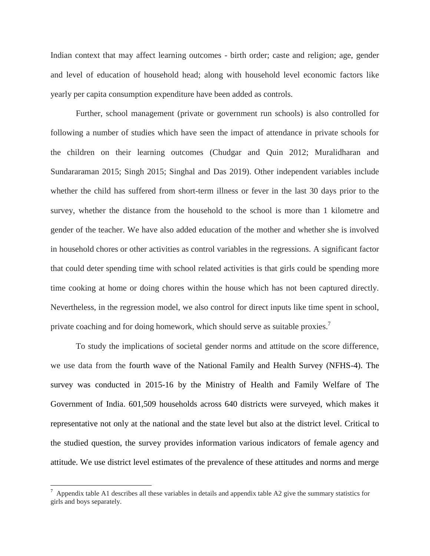Indian context that may affect learning outcomes - birth order; caste and religion; age, gender and level of education of household head; along with household level economic factors like yearly per capita consumption expenditure have been added as controls.

Further, school management (private or government run schools) is also controlled for following a number of studies which have seen the impact of attendance in private schools for the children on their learning outcomes (Chudgar and Quin 2012; Muralidharan and Sundararaman 2015; Singh 2015; Singhal and Das 2019). Other independent variables include whether the child has suffered from short-term illness or fever in the last 30 days prior to the survey, whether the distance from the household to the school is more than 1 kilometre and gender of the teacher. We have also added education of the mother and whether she is involved in household chores or other activities as control variables in the regressions. A significant factor that could deter spending time with school related activities is that girls could be spending more time cooking at home or doing chores within the house which has not been captured directly. Nevertheless, in the regression model, we also control for direct inputs like time spent in school, private coaching and for doing homework, which should serve as suitable proxies.<sup>7</sup>

To study the implications of societal gender norms and attitude on the score difference, we use data from the fourth wave of the National Family and Health Survey (NFHS-4). The survey was conducted in 2015-16 by the Ministry of Health and Family Welfare of The Government of India. 601,509 households across 640 districts were surveyed, which makes it representative not only at the national and the state level but also at the district level. Critical to the studied question, the survey provides information various indicators of female agency and attitude. We use district level estimates of the prevalence of these attitudes and norms and merge

 $\overline{a}$ 

 $^7$  Appendix table A1 describes all these variables in details and appendix table A2 give the summary statistics for girls and boys separately.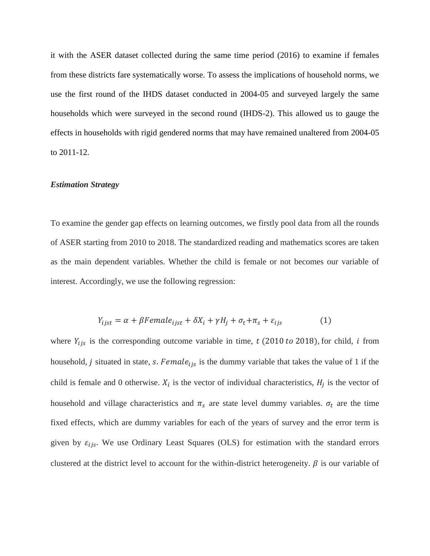it with the ASER dataset collected during the same time period (2016) to examine if females from these districts fare systematically worse. To assess the implications of household norms, we use the first round of the IHDS dataset conducted in 2004-05 and surveyed largely the same households which were surveyed in the second round (IHDS-2). This allowed us to gauge the effects in households with rigid gendered norms that may have remained unaltered from 2004-05 to 2011-12.

#### *Estimation Strategy*

To examine the gender gap effects on learning outcomes, we firstly pool data from all the rounds of ASER starting from 2010 to 2018. The standardized reading and mathematics scores are taken as the main dependent variables. Whether the child is female or not becomes our variable of interest. Accordingly, we use the following regression:

$$
Y_{ijst} = \alpha + \beta Female_{ijst} + \delta X_i + \gamma H_j + \sigma_t + \pi_s + \varepsilon_{ijs} \tag{1}
$$

where  $Y_{ijs}$  is the corresponding outcome variable in time, t (2010 to 2018), for child, i from household, j situated in state, s. Female<sub>tis</sub> is the dummy variable that takes the value of 1 if the child is female and 0 otherwise.  $X_i$  is the vector of individual characteristics,  $H_i$  is the vector of household and village characteristics and  $\pi_s$  are state level dummy variables.  $\sigma_t$  are the time fixed effects, which are dummy variables for each of the years of survey and the error term is given by  $\varepsilon_{ijs}$ . We use Ordinary Least Squares (OLS) for estimation with the standard errors clustered at the district level to account for the within-district heterogeneity.  $\beta$  is our variable of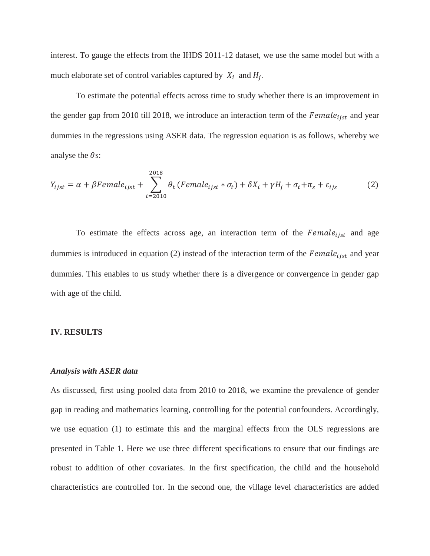interest. To gauge the effects from the IHDS 2011-12 dataset, we use the same model but with a much elaborate set of control variables captured by  $X_i$  and  $H_i$ .

To estimate the potential effects across time to study whether there is an improvement in the gender gap from 2010 till 2018, we introduce an interaction term of the  $Female_{iist}$  and year dummies in the regressions using ASER data. The regression equation is as follows, whereby we analyse the  $\theta$ s:

$$
Y_{ijst} = \alpha + \beta Female_{ijst} + \sum_{t=2010}^{2018} \theta_t \left( Female_{ijst} * \sigma_t \right) + \delta X_i + \gamma H_j + \sigma_t + \pi_s + \varepsilon_{ijs}
$$
(2)

To estimate the effects across age, an interaction term of the  $Female_{ijst}$  and age dummies is introduced in equation (2) instead of the interaction term of the  $Female_{ijst}$  and year dummies. This enables to us study whether there is a divergence or convergence in gender gap with age of the child.

#### **IV. RESULTS**

## *Analysis with ASER data*

As discussed, first using pooled data from 2010 to 2018, we examine the prevalence of gender gap in reading and mathematics learning, controlling for the potential confounders. Accordingly, we use equation (1) to estimate this and the marginal effects from the OLS regressions are presented in Table 1. Here we use three different specifications to ensure that our findings are robust to addition of other covariates. In the first specification, the child and the household characteristics are controlled for. In the second one, the village level characteristics are added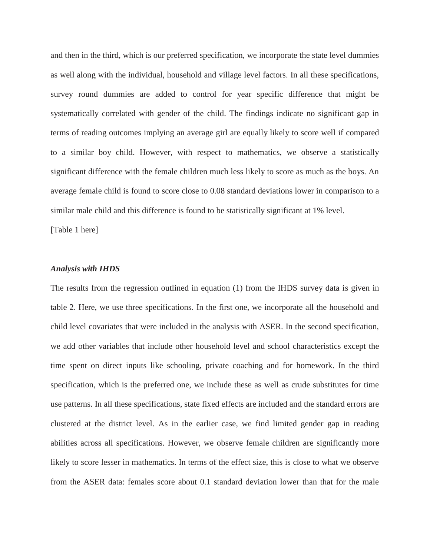and then in the third, which is our preferred specification, we incorporate the state level dummies as well along with the individual, household and village level factors. In all these specifications, survey round dummies are added to control for year specific difference that might be systematically correlated with gender of the child. The findings indicate no significant gap in terms of reading outcomes implying an average girl are equally likely to score well if compared to a similar boy child. However, with respect to mathematics, we observe a statistically significant difference with the female children much less likely to score as much as the boys. An average female child is found to score close to 0.08 standard deviations lower in comparison to a similar male child and this difference is found to be statistically significant at 1% level.

[Table 1 here]

#### *Analysis with IHDS*

The results from the regression outlined in equation (1) from the IHDS survey data is given in table 2. Here, we use three specifications. In the first one, we incorporate all the household and child level covariates that were included in the analysis with ASER. In the second specification, we add other variables that include other household level and school characteristics except the time spent on direct inputs like schooling, private coaching and for homework. In the third specification, which is the preferred one, we include these as well as crude substitutes for time use patterns. In all these specifications, state fixed effects are included and the standard errors are clustered at the district level. As in the earlier case, we find limited gender gap in reading abilities across all specifications. However, we observe female children are significantly more likely to score lesser in mathematics. In terms of the effect size, this is close to what we observe from the ASER data: females score about 0.1 standard deviation lower than that for the male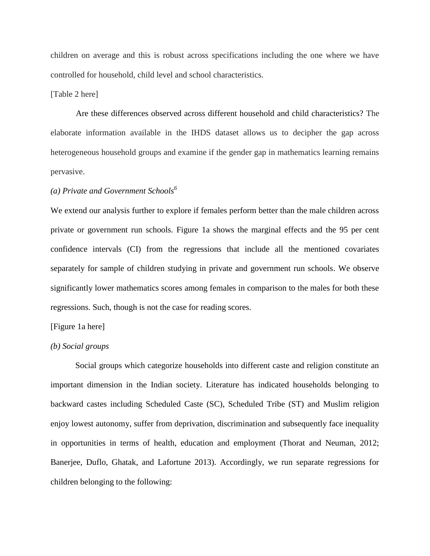children on average and this is robust across specifications including the one where we have controlled for household, child level and school characteristics.

## [Table 2 here]

Are these differences observed across different household and child characteristics? The elaborate information available in the IHDS dataset allows us to decipher the gap across heterogeneous household groups and examine if the gender gap in mathematics learning remains pervasive.

# *(a) Private and Government Schools<sup>6</sup>*

We extend our analysis further to explore if females perform better than the male children across private or government run schools. Figure 1a shows the marginal effects and the 95 per cent confidence intervals (CI) from the regressions that include all the mentioned covariates separately for sample of children studying in private and government run schools. We observe significantly lower mathematics scores among females in comparison to the males for both these regressions. Such, though is not the case for reading scores.

## [Figure 1a here]

#### *(b) Social groups*

Social groups which categorize households into different caste and religion constitute an important dimension in the Indian society. Literature has indicated households belonging to backward castes including Scheduled Caste (SC), Scheduled Tribe (ST) and Muslim religion enjoy lowest autonomy, suffer from deprivation, discrimination and subsequently face inequality in opportunities in terms of health, education and employment (Thorat and Neuman, 2012; Banerjee, Duflo, Ghatak, and Lafortune 2013). Accordingly, we run separate regressions for children belonging to the following: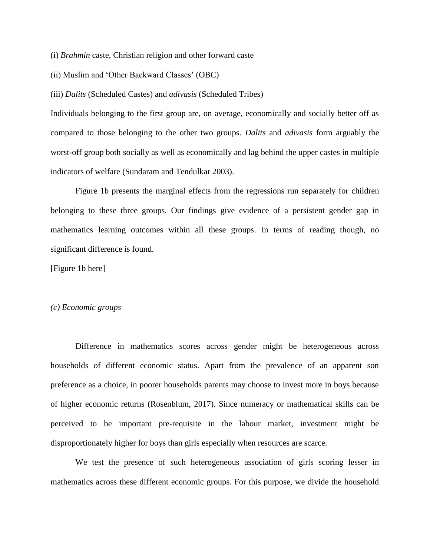(i) *Brahmin* caste, Christian religion and other forward caste

(ii) Muslim and 'Other Backward Classes' (OBC)

(iii) *Dalits* (Scheduled Castes) and *adivasis* (Scheduled Tribes)

Individuals belonging to the first group are, on average, economically and socially better off as compared to those belonging to the other two groups. *Dalits* and *adivasis* form arguably the worst-off group both socially as well as economically and lag behind the upper castes in multiple indicators of welfare (Sundaram and Tendulkar 2003).

Figure 1b presents the marginal effects from the regressions run separately for children belonging to these three groups. Our findings give evidence of a persistent gender gap in mathematics learning outcomes within all these groups. In terms of reading though, no significant difference is found.

[Figure 1b here]

#### *(c) Economic groups*

Difference in mathematics scores across gender might be heterogeneous across households of different economic status. Apart from the prevalence of an apparent son preference as a choice, in poorer households parents may choose to invest more in boys because of higher economic returns (Rosenblum, 2017). Since numeracy or mathematical skills can be perceived to be important pre-requisite in the labour market, investment might be disproportionately higher for boys than girls especially when resources are scarce.

We test the presence of such heterogeneous association of girls scoring lesser in mathematics across these different economic groups. For this purpose, we divide the household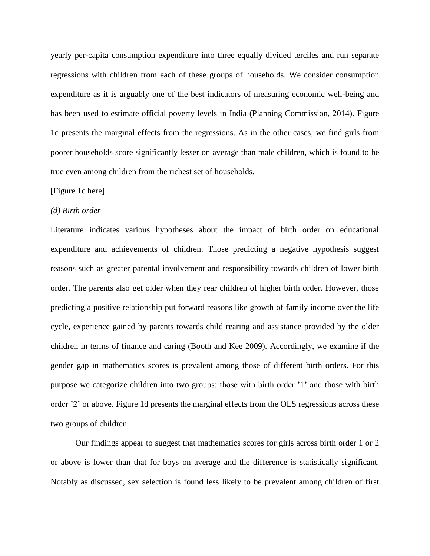yearly per-capita consumption expenditure into three equally divided terciles and run separate regressions with children from each of these groups of households. We consider consumption expenditure as it is arguably one of the best indicators of measuring economic well-being and has been used to estimate official poverty levels in India (Planning Commission, 2014). Figure 1c presents the marginal effects from the regressions. As in the other cases, we find girls from poorer households score significantly lesser on average than male children, which is found to be true even among children from the richest set of households.

#### [Figure 1c here]

#### *(d) Birth order*

Literature indicates various hypotheses about the impact of birth order on educational expenditure and achievements of children. Those predicting a negative hypothesis suggest reasons such as greater parental involvement and responsibility towards children of lower birth order. The parents also get older when they rear children of higher birth order. However, those predicting a positive relationship put forward reasons like growth of family income over the life cycle, experience gained by parents towards child rearing and assistance provided by the older children in terms of finance and caring (Booth and Kee 2009). Accordingly, we examine if the gender gap in mathematics scores is prevalent among those of different birth orders. For this purpose we categorize children into two groups: those with birth order '1' and those with birth order '2' or above. Figure 1d presents the marginal effects from the OLS regressions across these two groups of children.

Our findings appear to suggest that mathematics scores for girls across birth order 1 or 2 or above is lower than that for boys on average and the difference is statistically significant. Notably as discussed, sex selection is found less likely to be prevalent among children of first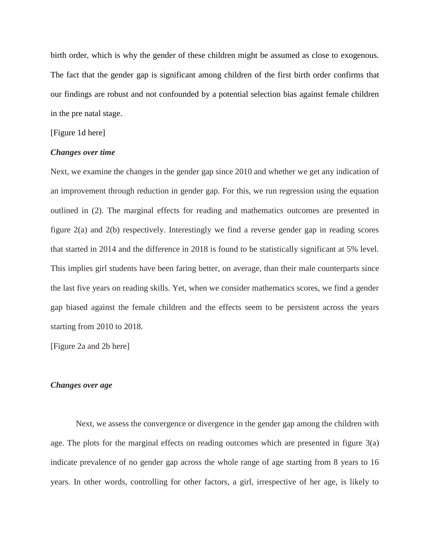birth order, which is why the gender of these children might be assumed as close to exogenous. The fact that the gender gap is significant among children of the first birth order confirms that our findings are robust and not confounded by a potential selection bias against female children in the pre natal stage.

## [Figure 1d here]

## *Changes over time*

Next, we examine the changes in the gender gap since 2010 and whether we get any indication of an improvement through reduction in gender gap. For this, we run regression using the equation outlined in (2). The marginal effects for reading and mathematics outcomes are presented in figure 2(a) and 2(b) respectively. Interestingly we find a reverse gender gap in reading scores that started in 2014 and the difference in 2018 is found to be statistically significant at 5% level. This implies girl students have been faring better, on average, than their male counterparts since the last five years on reading skills. Yet, when we consider mathematics scores, we find a gender gap biased against the female children and the effects seem to be persistent across the years starting from 2010 to 2018.

[Figure 2a and 2b here]

#### *Changes over age*

Next, we assess the convergence or divergence in the gender gap among the children with age. The plots for the marginal effects on reading outcomes which are presented in figure 3(a) indicate prevalence of no gender gap across the whole range of age starting from 8 years to 16 years. In other words, controlling for other factors, a girl, irrespective of her age, is likely to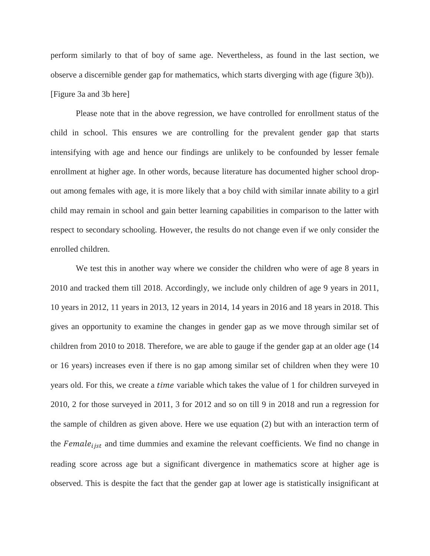perform similarly to that of boy of same age. Nevertheless, as found in the last section, we observe a discernible gender gap for mathematics, which starts diverging with age (figure 3(b)). [Figure 3a and 3b here]

Please note that in the above regression, we have controlled for enrollment status of the child in school. This ensures we are controlling for the prevalent gender gap that starts intensifying with age and hence our findings are unlikely to be confounded by lesser female enrollment at higher age. In other words, because literature has documented higher school dropout among females with age, it is more likely that a boy child with similar innate ability to a girl child may remain in school and gain better learning capabilities in comparison to the latter with respect to secondary schooling. However, the results do not change even if we only consider the enrolled children.

We test this in another way where we consider the children who were of age 8 years in 2010 and tracked them till 2018. Accordingly, we include only children of age 9 years in 2011, 10 years in 2012, 11 years in 2013, 12 years in 2014, 14 years in 2016 and 18 years in 2018. This gives an opportunity to examine the changes in gender gap as we move through similar set of children from 2010 to 2018. Therefore, we are able to gauge if the gender gap at an older age (14 or 16 years) increases even if there is no gap among similar set of children when they were 10 years old. For this, we create a *time* variable which takes the value of 1 for children surveyed in 2010, 2 for those surveyed in 2011, 3 for 2012 and so on till 9 in 2018 and run a regression for the sample of children as given above. Here we use equation (2) but with an interaction term of the  $Female_{iist}$  and time dummies and examine the relevant coefficients. We find no change in reading score across age but a significant divergence in mathematics score at higher age is observed. This is despite the fact that the gender gap at lower age is statistically insignificant at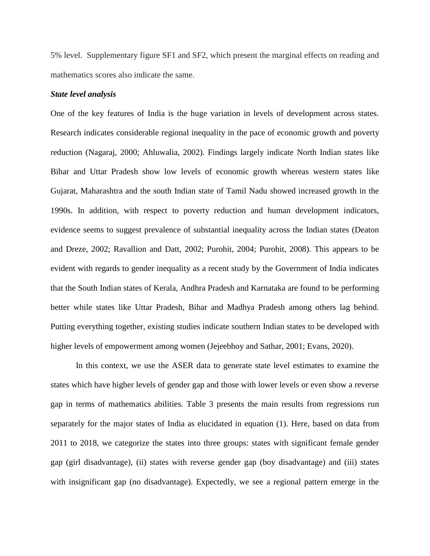5% level. Supplementary figure SF1 and SF2, which present the marginal effects on reading and mathematics scores also indicate the same.

## *State level analysis*

One of the key features of India is the huge variation in levels of development across states. Research indicates considerable regional inequality in the pace of economic growth and poverty reduction (Nagaraj, 2000; Ahluwalia, 2002). Findings largely indicate North Indian states like Bihar and Uttar Pradesh show low levels of economic growth whereas western states like Gujarat, Maharashtra and the south Indian state of Tamil Nadu showed increased growth in the 1990s. In addition, with respect to poverty reduction and human development indicators, evidence seems to suggest prevalence of substantial inequality across the Indian states (Deaton and Dreze, 2002; Ravallion and Datt, 2002; Purohit, 2004; Purohit, 2008). This appears to be evident with regards to gender inequality as a recent study by the Government of India indicates that the South Indian states of Kerala, Andhra Pradesh and Karnataka are found to be performing better while states like Uttar Pradesh, Bihar and Madhya Pradesh among others lag behind. Putting everything together, existing studies indicate southern Indian states to be developed with higher levels of empowerment among women (Jejeebhoy and Sathar, 2001; Evans, 2020).

In this context, we use the ASER data to generate state level estimates to examine the states which have higher levels of gender gap and those with lower levels or even show a reverse gap in terms of mathematics abilities. Table 3 presents the main results from regressions run separately for the major states of India as elucidated in equation (1). Here, based on data from 2011 to 2018, we categorize the states into three groups: states with significant female gender gap (girl disadvantage), (ii) states with reverse gender gap (boy disadvantage) and (iii) states with insignificant gap (no disadvantage). Expectedly, we see a regional pattern emerge in the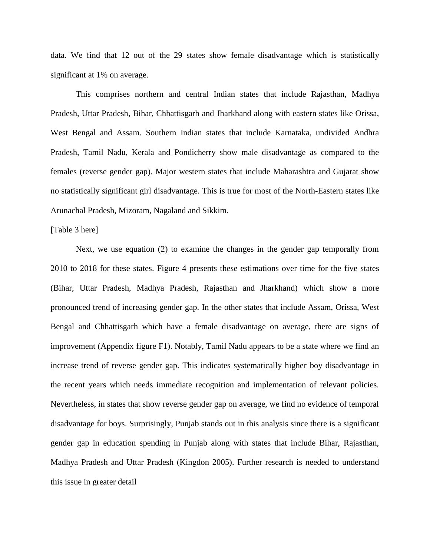data. We find that 12 out of the 29 states show female disadvantage which is statistically significant at 1% on average.

This comprises northern and central Indian states that include Rajasthan, Madhya Pradesh, Uttar Pradesh, Bihar, Chhattisgarh and Jharkhand along with eastern states like Orissa, West Bengal and Assam. Southern Indian states that include Karnataka, undivided Andhra Pradesh, Tamil Nadu, Kerala and Pondicherry show male disadvantage as compared to the females (reverse gender gap). Major western states that include Maharashtra and Gujarat show no statistically significant girl disadvantage. This is true for most of the North-Eastern states like Arunachal Pradesh, Mizoram, Nagaland and Sikkim.

## [Table 3 here]

Next, we use equation (2) to examine the changes in the gender gap temporally from 2010 to 2018 for these states. Figure 4 presents these estimations over time for the five states (Bihar, Uttar Pradesh, Madhya Pradesh, Rajasthan and Jharkhand) which show a more pronounced trend of increasing gender gap. In the other states that include Assam, Orissa, West Bengal and Chhattisgarh which have a female disadvantage on average, there are signs of improvement (Appendix figure F1). Notably, Tamil Nadu appears to be a state where we find an increase trend of reverse gender gap. This indicates systematically higher boy disadvantage in the recent years which needs immediate recognition and implementation of relevant policies. Nevertheless, in states that show reverse gender gap on average, we find no evidence of temporal disadvantage for boys. Surprisingly, Punjab stands out in this analysis since there is a significant gender gap in education spending in Punjab along with states that include Bihar, Rajasthan, Madhya Pradesh and Uttar Pradesh (Kingdon 2005). Further research is needed to understand this issue in greater detail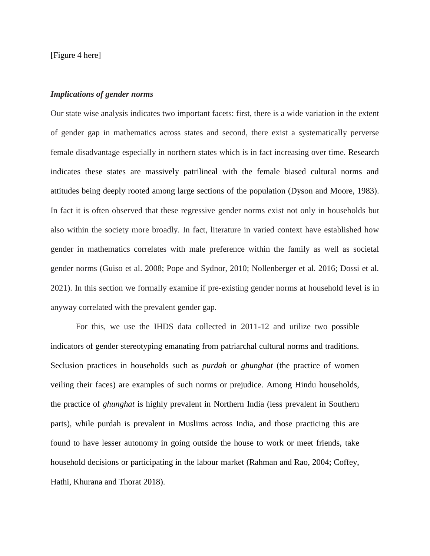[Figure 4 here]

## *Implications of gender norms*

Our state wise analysis indicates two important facets: first, there is a wide variation in the extent of gender gap in mathematics across states and second, there exist a systematically perverse female disadvantage especially in northern states which is in fact increasing over time. Research indicates these states are massively patrilineal with the female biased cultural norms and attitudes being deeply rooted among large sections of the population (Dyson and Moore, 1983). In fact it is often observed that these regressive gender norms exist not only in households but also within the society more broadly. In fact, literature in varied context have established how gender in mathematics correlates with male preference within the family as well as societal gender norms (Guiso et al. 2008; Pope and Sydnor, 2010; Nollenberger et al. 2016; Dossi et al. 2021). In this section we formally examine if pre-existing gender norms at household level is in anyway correlated with the prevalent gender gap.

For this, we use the IHDS data collected in 2011-12 and utilize two possible indicators of gender stereotyping emanating from patriarchal cultural norms and traditions. Seclusion practices in households such as *purdah* or *ghunghat* (the practice of women veiling their faces) are examples of such norms or prejudice. Among Hindu households, the practice of *ghunghat* is highly prevalent in Northern India (less prevalent in Southern parts), while purdah is prevalent in Muslims across India, and those practicing this are found to have lesser autonomy in going outside the house to work or meet friends, take household decisions or participating in the labour market (Rahman and Rao, 2004; Coffey, Hathi, Khurana and Thorat 2018).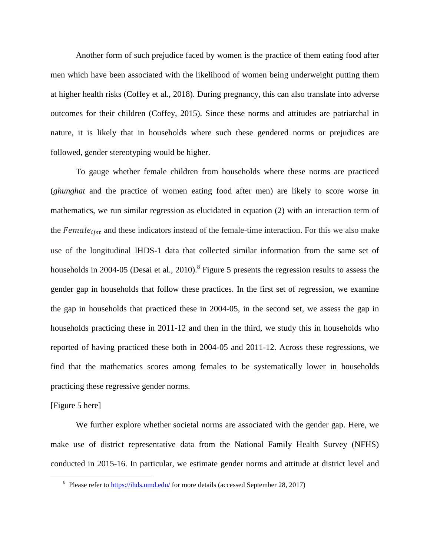Another form of such prejudice faced by women is the practice of them eating food after men which have been associated with the likelihood of women being underweight putting them at higher health risks (Coffey et al., 2018). During pregnancy, this can also translate into adverse outcomes for their children (Coffey, 2015). Since these norms and attitudes are patriarchal in nature, it is likely that in households where such these gendered norms or prejudices are followed, gender stereotyping would be higher.

To gauge whether female children from households where these norms are practiced (*ghunghat* and the practice of women eating food after men) are likely to score worse in mathematics, we run similar regression as elucidated in equation (2) with an interaction term of the  $Female_{iist}$  and these indicators instead of the female-time interaction. For this we also make use of the longitudinal IHDS-1 data that collected similar information from the same set of households in 2004-05 (Desai et al., 2010).<sup>8</sup> Figure 5 presents the regression results to assess the gender gap in households that follow these practices. In the first set of regression, we examine the gap in households that practiced these in 2004-05, in the second set, we assess the gap in households practicing these in 2011-12 and then in the third, we study this in households who reported of having practiced these both in 2004-05 and 2011-12. Across these regressions, we find that the mathematics scores among females to be systematically lower in households practicing these regressive gender norms.

## [Figure 5 here]

 $\overline{a}$ 

We further explore whether societal norms are associated with the gender gap. Here, we make use of district representative data from the National Family Health Survey (NFHS) conducted in 2015-16. In particular, we estimate gender norms and attitude at district level and

<sup>&</sup>lt;sup>8</sup> Please refer to **https://ihds.umd.edu/** for more details (accessed September 28, 2017)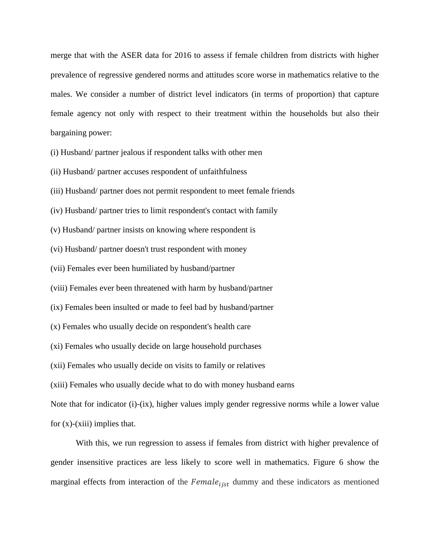merge that with the ASER data for 2016 to assess if female children from districts with higher prevalence of regressive gendered norms and attitudes score worse in mathematics relative to the males. We consider a number of district level indicators (in terms of proportion) that capture female agency not only with respect to their treatment within the households but also their bargaining power:

(i) Husband/ partner jealous if respondent talks with other men

(ii) Husband/ partner accuses respondent of unfaithfulness

(iii) Husband/ partner does not permit respondent to meet female friends

(iv) Husband/ partner tries to limit respondent's contact with family

(v) Husband/ partner insists on knowing where respondent is

(vi) Husband/ partner doesn't trust respondent with money

(vii) Females ever been humiliated by husband/partner

(viii) Females ever been threatened with harm by husband/partner

(ix) Females been insulted or made to feel bad by husband/partner

(x) Females who usually decide on respondent's health care

(xi) Females who usually decide on large household purchases

(xii) Females who usually decide on visits to family or relatives

(xiii) Females who usually decide what to do with money husband earns

Note that for indicator (i)-(ix), higher values imply gender regressive norms while a lower value for  $(x)$ - $(xiii)$  implies that.

With this, we run regression to assess if females from district with higher prevalence of gender insensitive practices are less likely to score well in mathematics. Figure 6 show the marginal effects from interaction of the  $Female_{i}$  dummy and these indicators as mentioned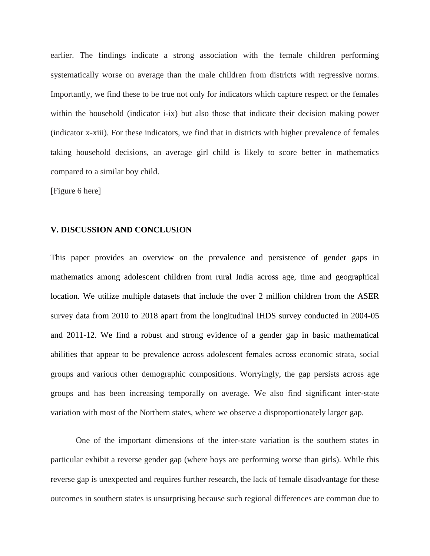earlier. The findings indicate a strong association with the female children performing systematically worse on average than the male children from districts with regressive norms. Importantly, we find these to be true not only for indicators which capture respect or the females within the household (indicator i-ix) but also those that indicate their decision making power (indicator x-xiii). For these indicators, we find that in districts with higher prevalence of females taking household decisions, an average girl child is likely to score better in mathematics compared to a similar boy child.

[Figure 6 here]

#### **V. DISCUSSION AND CONCLUSION**

This paper provides an overview on the prevalence and persistence of gender gaps in mathematics among adolescent children from rural India across age, time and geographical location. We utilize multiple datasets that include the over 2 million children from the ASER survey data from 2010 to 2018 apart from the longitudinal IHDS survey conducted in 2004-05 and 2011-12. We find a robust and strong evidence of a gender gap in basic mathematical abilities that appear to be prevalence across adolescent females across economic strata, social groups and various other demographic compositions. Worryingly, the gap persists across age groups and has been increasing temporally on average. We also find significant inter-state variation with most of the Northern states, where we observe a disproportionately larger gap.

One of the important dimensions of the inter-state variation is the southern states in particular exhibit a reverse gender gap (where boys are performing worse than girls). While this reverse gap is unexpected and requires further research, the lack of female disadvantage for these outcomes in southern states is unsurprising because such regional differences are common due to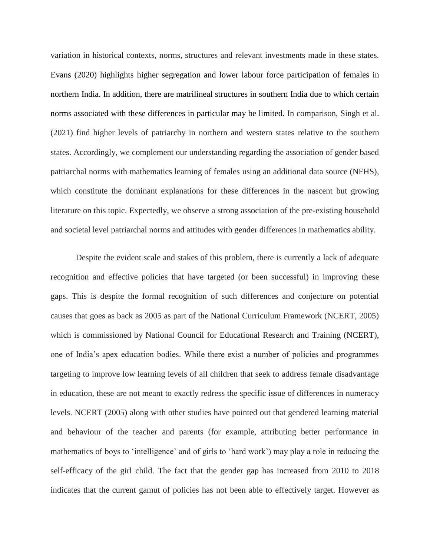variation in historical contexts, norms, structures and relevant investments made in these states. Evans (2020) highlights higher segregation and lower labour force participation of females in northern India. In addition, there are matrilineal structures in southern India due to which certain norms associated with these differences in particular may be limited. In comparison, Singh et al. (2021) find higher levels of patriarchy in northern and western states relative to the southern states. Accordingly, we complement our understanding regarding the association of gender based patriarchal norms with mathematics learning of females using an additional data source (NFHS), which constitute the dominant explanations for these differences in the nascent but growing literature on this topic. Expectedly, we observe a strong association of the pre-existing household and societal level patriarchal norms and attitudes with gender differences in mathematics ability.

Despite the evident scale and stakes of this problem, there is currently a lack of adequate recognition and effective policies that have targeted (or been successful) in improving these gaps. This is despite the formal recognition of such differences and conjecture on potential causes that goes as back as 2005 as part of the National Curriculum Framework (NCERT, 2005) which is commissioned by National Council for Educational Research and Training (NCERT), one of India's apex education bodies. While there exist a number of policies and programmes targeting to improve low learning levels of all children that seek to address female disadvantage in education, these are not meant to exactly redress the specific issue of differences in numeracy levels. NCERT (2005) along with other studies have pointed out that gendered learning material and behaviour of the teacher and parents (for example, attributing better performance in mathematics of boys to 'intelligence' and of girls to 'hard work') may play a role in reducing the self-efficacy of the girl child. The fact that the gender gap has increased from 2010 to 2018 indicates that the current gamut of policies has not been able to effectively target. However as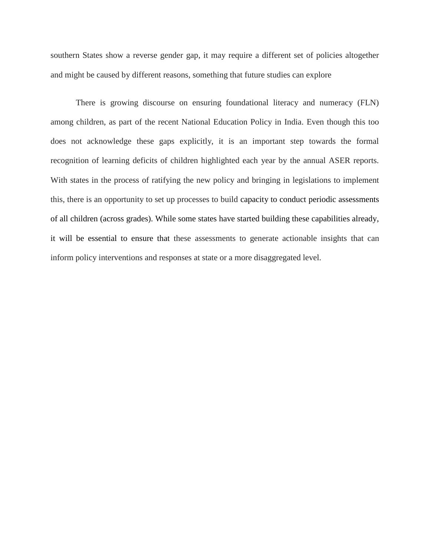southern States show a reverse gender gap, it may require a different set of policies altogether and might be caused by different reasons, something that future studies can explore

There is growing discourse on ensuring foundational literacy and numeracy (FLN) among children, as part of the recent National Education Policy in India. Even though this too does not acknowledge these gaps explicitly, it is an important step towards the formal recognition of learning deficits of children highlighted each year by the annual ASER reports. With states in the process of ratifying the new policy and bringing in legislations to implement this, there is an opportunity to set up processes to build capacity to conduct periodic assessments of all children (across grades). While some states have started building these capabilities already, it will be essential to ensure that these assessments to generate actionable insights that can inform policy interventions and responses at state or a more disaggregated level.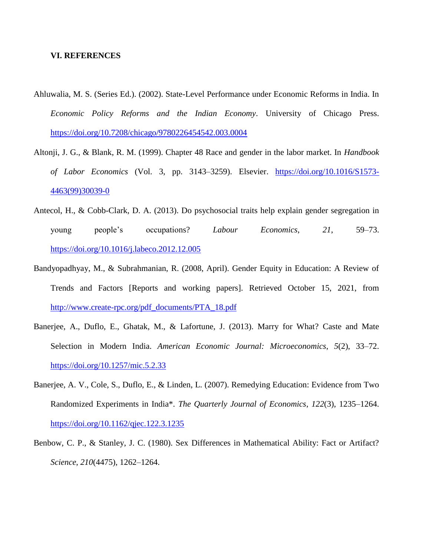## **VI. REFERENCES**

- Ahluwalia, M. S. (Series Ed.). (2002). State-Level Performance under Economic Reforms in India. In *Economic Policy Reforms and the Indian Economy*. University of Chicago Press. <https://doi.org/10.7208/chicago/9780226454542.003.0004>
- Altonji, J. G., & Blank, R. M. (1999). Chapter 48 Race and gender in the labor market. In *Handbook of Labor Economics* (Vol. 3, pp. 3143–3259). Elsevier. [https://doi.org/10.1016/S1573-](https://doi.org/10.1016/S1573-4463(99)30039-0) [4463\(99\)30039-0](https://doi.org/10.1016/S1573-4463(99)30039-0)
- Antecol, H., & Cobb-Clark, D. A. (2013). Do psychosocial traits help explain gender segregation in young people's occupations? *Labour Economics*, *21*, 59–73. <https://doi.org/10.1016/j.labeco.2012.12.005>
- Bandyopadhyay, M., & Subrahmanian, R. (2008, April). Gender Equity in Education: A Review of Trends and Factors [Reports and working papers]. Retrieved October 15, 2021, from [http://www.create-rpc.org/pdf\\_documents/PTA\\_18.pdf](http://www.create-rpc.org/pdf_documents/PTA_18.pdf)
- Banerjee, A., Duflo, E., Ghatak, M., & Lafortune, J. (2013). Marry for What? Caste and Mate Selection in Modern India. *American Economic Journal: Microeconomics*, *5*(2), 33–72. <https://doi.org/10.1257/mic.5.2.33>
- Banerjee, A. V., Cole, S., Duflo, E., & Linden, L. (2007). Remedying Education: Evidence from Two Randomized Experiments in India\*. *The Quarterly Journal of Economics*, *122*(3), 1235–1264. <https://doi.org/10.1162/qjec.122.3.1235>
- Benbow, C. P., & Stanley, J. C. (1980). Sex Differences in Mathematical Ability: Fact or Artifact? *Science*, *210*(4475), 1262–1264.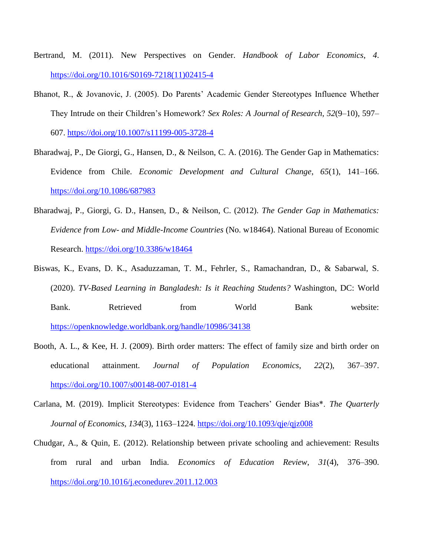- Bertrand, M. (2011). New Perspectives on Gender. *Handbook of Labor Economics*, *4*. [https://doi.org/10.1016/S0169-7218\(11\)02415-4](https://doi.org/10.1016/S0169-7218(11)02415-4)
- Bhanot, R., & Jovanovic, J. (2005). Do Parents' Academic Gender Stereotypes Influence Whether They Intrude on their Children's Homework? *Sex Roles: A Journal of Research*, *52*(9–10), 597– 607.<https://doi.org/10.1007/s11199-005-3728-4>
- Bharadwaj, P., De Giorgi, G., Hansen, D., & Neilson, C. A. (2016). The Gender Gap in Mathematics: Evidence from Chile. *Economic Development and Cultural Change*, *65*(1), 141–166. <https://doi.org/10.1086/687983>
- Bharadwaj, P., Giorgi, G. D., Hansen, D., & Neilson, C. (2012). *The Gender Gap in Mathematics: Evidence from Low- and Middle-Income Countries* (No. w18464). National Bureau of Economic Research.<https://doi.org/10.3386/w18464>
- Biswas, K., Evans, D. K., Asaduzzaman, T. M., Fehrler, S., Ramachandran, D., & Sabarwal, S. (2020). *TV-Based Learning in Bangladesh: Is it Reaching Students?* Washington, DC: World Bank. Retrieved from World Bank website: <https://openknowledge.worldbank.org/handle/10986/34138>
- Booth, A. L., & Kee, H. J. (2009). Birth order matters: The effect of family size and birth order on educational attainment. *Journal of Population Economics*, *22*(2), 367–397. <https://doi.org/10.1007/s00148-007-0181-4>
- Carlana, M. (2019). Implicit Stereotypes: Evidence from Teachers' Gender Bias\*. *The Quarterly Journal of Economics*, *134*(3), 1163–1224.<https://doi.org/10.1093/qje/qjz008>
- Chudgar, A., & Quin, E. (2012). Relationship between private schooling and achievement: Results from rural and urban India. *Economics of Education Review*, *31*(4), 376–390. <https://doi.org/10.1016/j.econedurev.2011.12.003>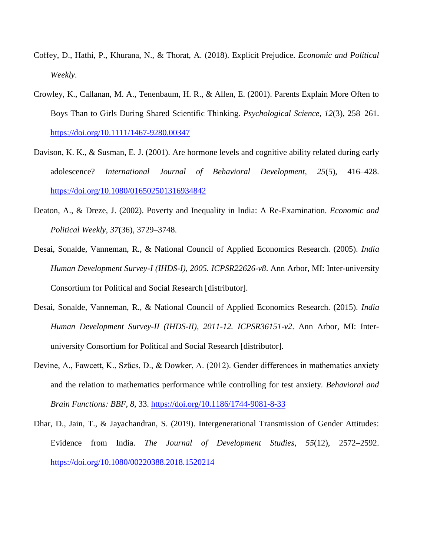- Coffey, D., Hathi, P., Khurana, N., & Thorat, A. (2018). Explicit Prejudice. *Economic and Political Weekly*.
- Crowley, K., Callanan, M. A., Tenenbaum, H. R., & Allen, E. (2001). Parents Explain More Often to Boys Than to Girls During Shared Scientific Thinking. *Psychological Science*, *12*(3), 258–261. <https://doi.org/10.1111/1467-9280.00347>
- Davison, K. K., & Susman, E. J. (2001). Are hormone levels and cognitive ability related during early adolescence? *International Journal of Behavioral Development*, *25*(5), 416–428. <https://doi.org/10.1080/016502501316934842>
- Deaton, A., & Dreze, J. (2002). Poverty and Inequality in India: A Re-Examination. *Economic and Political Weekly*, *37*(36), 3729–3748.
- Desai, Sonalde, Vanneman, R., & National Council of Applied Economics Research. (2005). *India Human Development Survey-I (IHDS-I), 2005. ICPSR22626-v8*. Ann Arbor, MI: Inter-university Consortium for Political and Social Research [distributor].
- Desai, Sonalde, Vanneman, R., & National Council of Applied Economics Research. (2015). *India Human Development Survey-II (IHDS-II), 2011-12. ICPSR36151-v2*. Ann Arbor, MI: Interuniversity Consortium for Political and Social Research [distributor].
- Devine, A., Fawcett, K., Szűcs, D., & Dowker, A. (2012). Gender differences in mathematics anxiety and the relation to mathematics performance while controlling for test anxiety. *Behavioral and Brain Functions: BBF*, *8*, 33.<https://doi.org/10.1186/1744-9081-8-33>
- Dhar, D., Jain, T., & Jayachandran, S. (2019). Intergenerational Transmission of Gender Attitudes: Evidence from India. *The Journal of Development Studies*, *55*(12), 2572–2592. <https://doi.org/10.1080/00220388.2018.1520214>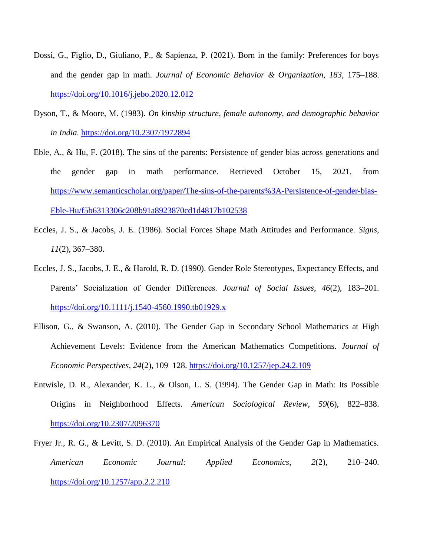- Dossi, G., Figlio, D., Giuliano, P., & Sapienza, P. (2021). Born in the family: Preferences for boys and the gender gap in math. *Journal of Economic Behavior & Organization*, *183*, 175–188. <https://doi.org/10.1016/j.jebo.2020.12.012>
- Dyson, T., & Moore, M. (1983). *On kinship structure, female autonomy, and demographic behavior in India.* <https://doi.org/10.2307/1972894>
- Eble, A., & Hu, F. (2018). The sins of the parents: Persistence of gender bias across generations and the gender gap in math performance. Retrieved October 15, 2021, from [https://www.semanticscholar.org/paper/The-sins-of-the-parents%3A-Persistence-of-gender-bias-](https://www.semanticscholar.org/paper/The-sins-of-the-parents%3A-Persistence-of-gender-bias-Eble-Hu/f5b6313306c208b91a8923870cd1d4817b102538)[Eble-Hu/f5b6313306c208b91a8923870cd1d4817b102538](https://www.semanticscholar.org/paper/The-sins-of-the-parents%3A-Persistence-of-gender-bias-Eble-Hu/f5b6313306c208b91a8923870cd1d4817b102538)
- Eccles, J. S., & Jacobs, J. E. (1986). Social Forces Shape Math Attitudes and Performance. *Signs*, *11*(2), 367–380.
- Eccles, J. S., Jacobs, J. E., & Harold, R. D. (1990). Gender Role Stereotypes, Expectancy Effects, and Parents' Socialization of Gender Differences. *Journal of Social Issues*, *46*(2), 183–201. <https://doi.org/10.1111/j.1540-4560.1990.tb01929.x>
- Ellison, G., & Swanson, A. (2010). The Gender Gap in Secondary School Mathematics at High Achievement Levels: Evidence from the American Mathematics Competitions. *Journal of Economic Perspectives*, *24*(2), 109–128.<https://doi.org/10.1257/jep.24.2.109>
- Entwisle, D. R., Alexander, K. L., & Olson, L. S. (1994). The Gender Gap in Math: Its Possible Origins in Neighborhood Effects. *American Sociological Review*, *59*(6), 822–838. <https://doi.org/10.2307/2096370>
- Fryer Jr., R. G., & Levitt, S. D. (2010). An Empirical Analysis of the Gender Gap in Mathematics. *American Economic Journal: Applied Economics*, *2*(2), 210–240. <https://doi.org/10.1257/app.2.2.210>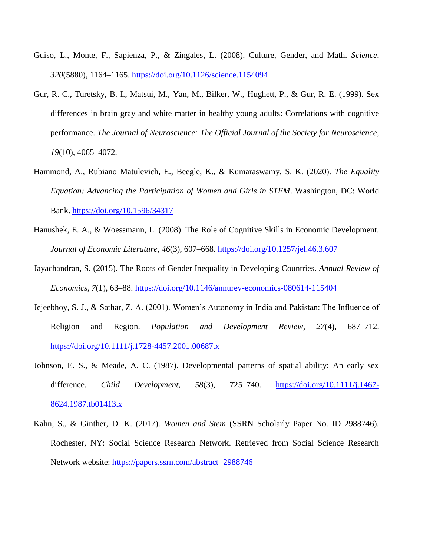- Guiso, L., Monte, F., Sapienza, P., & Zingales, L. (2008). Culture, Gender, and Math. *Science*, *320*(5880), 1164–1165.<https://doi.org/10.1126/science.1154094>
- Gur, R. C., Turetsky, B. I., Matsui, M., Yan, M., Bilker, W., Hughett, P., & Gur, R. E. (1999). Sex differences in brain gray and white matter in healthy young adults: Correlations with cognitive performance. *The Journal of Neuroscience: The Official Journal of the Society for Neuroscience*, *19*(10), 4065–4072.
- Hammond, A., Rubiano Matulevich, E., Beegle, K., & Kumaraswamy, S. K. (2020). *The Equality Equation: Advancing the Participation of Women and Girls in STEM*. Washington, DC: World Bank.<https://doi.org/10.1596/34317>
- Hanushek, E. A., & Woessmann, L. (2008). The Role of Cognitive Skills in Economic Development. *Journal of Economic Literature*, *46*(3), 607–668.<https://doi.org/10.1257/jel.46.3.607>
- Jayachandran, S. (2015). The Roots of Gender Inequality in Developing Countries. *Annual Review of Economics*, *7*(1), 63–88.<https://doi.org/10.1146/annurev-economics-080614-115404>
- Jejeebhoy, S. J., & Sathar, Z. A. (2001). Women's Autonomy in India and Pakistan: The Influence of Religion and Region. *Population and Development Review*, *27*(4), 687–712. <https://doi.org/10.1111/j.1728-4457.2001.00687.x>
- Johnson, E. S., & Meade, A. C. (1987). Developmental patterns of spatial ability: An early sex difference. *Child Development*, *58*(3), 725–740. [https://doi.org/10.1111/j.1467-](https://doi.org/10.1111/j.1467-8624.1987.tb01413.x) [8624.1987.tb01413.x](https://doi.org/10.1111/j.1467-8624.1987.tb01413.x)
- Kahn, S., & Ginther, D. K. (2017). *Women and Stem* (SSRN Scholarly Paper No. ID 2988746). Rochester, NY: Social Science Research Network. Retrieved from Social Science Research Network website:<https://papers.ssrn.com/abstract=2988746>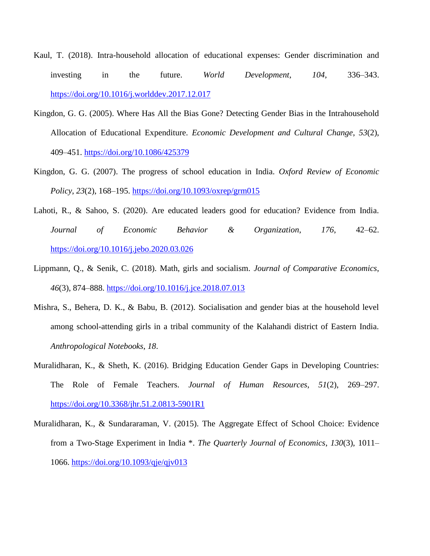- Kaul, T. (2018). Intra-household allocation of educational expenses: Gender discrimination and investing in the future. *World Development*, *104*, 336–343. <https://doi.org/10.1016/j.worlddev.2017.12.017>
- Kingdon, G. G. (2005). Where Has All the Bias Gone? Detecting Gender Bias in the Intrahousehold Allocation of Educational Expenditure. *Economic Development and Cultural Change*, *53*(2), 409–451.<https://doi.org/10.1086/425379>
- Kingdon, G. G. (2007). The progress of school education in India. *Oxford Review of Economic Policy*, *23*(2), 168–195.<https://doi.org/10.1093/oxrep/grm015>
- Lahoti, R., & Sahoo, S. (2020). Are educated leaders good for education? Evidence from India. *Journal of Economic Behavior & Organization*, *176*, 42–62. <https://doi.org/10.1016/j.jebo.2020.03.026>
- Lippmann, Q., & Senik, C. (2018). Math, girls and socialism. *Journal of Comparative Economics*, *46*(3), 874–888.<https://doi.org/10.1016/j.jce.2018.07.013>
- Mishra, S., Behera, D. K., & Babu, B. (2012). Socialisation and gender bias at the household level among school-attending girls in a tribal community of the Kalahandi district of Eastern India. *Anthropological Notebooks*, *18*.
- Muralidharan, K., & Sheth, K. (2016). Bridging Education Gender Gaps in Developing Countries: The Role of Female Teachers. *Journal of Human Resources*, *51*(2), 269–297. <https://doi.org/10.3368/jhr.51.2.0813-5901R1>
- Muralidharan, K., & Sundararaman, V. (2015). The Aggregate Effect of School Choice: Evidence from a Two-Stage Experiment in India \*. *The Quarterly Journal of Economics*, *130*(3), 1011– 1066.<https://doi.org/10.1093/qje/qjv013>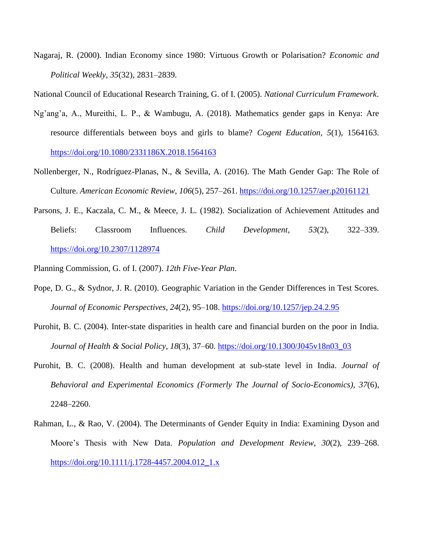Nagaraj, R. (2000). Indian Economy since 1980: Virtuous Growth or Polarisation? *Economic and Political Weekly*, *35*(32), 2831–2839.

National Council of Educational Research Training, G. of I. (2005). *National Curriculum Framework*.

- Ng'ang'a, A., Mureithi, L. P., & Wambugu, A. (2018). Mathematics gender gaps in Kenya: Are resource differentials between boys and girls to blame? *Cogent Education*, *5*(1), 1564163. <https://doi.org/10.1080/2331186X.2018.1564163>
- Nollenberger, N., Rodríguez-Planas, N., & Sevilla, A. (2016). The Math Gender Gap: The Role of Culture. *American Economic Review*, *106*(5), 257–261.<https://doi.org/10.1257/aer.p20161121>
- Parsons, J. E., Kaczala, C. M., & Meece, J. L. (1982). Socialization of Achievement Attitudes and Beliefs: Classroom Influences. *Child Development*, *53*(2), 322–339. <https://doi.org/10.2307/1128974>

Planning Commission, G. of I. (2007). *12th Five-Year Plan*.

- Pope, D. G., & Sydnor, J. R. (2010). Geographic Variation in the Gender Differences in Test Scores. *Journal of Economic Perspectives*, *24*(2), 95–108.<https://doi.org/10.1257/jep.24.2.95>
- Purohit, B. C. (2004). Inter-state disparities in health care and financial burden on the poor in India. *Journal of Health & Social Policy*, *18*(3), 37–60. [https://doi.org/10.1300/J045v18n03\\_03](https://doi.org/10.1300/J045v18n03_03)
- Purohit, B. C. (2008). Health and human development at sub-state level in India. *Journal of Behavioral and Experimental Economics (Formerly The Journal of Socio-Economics)*, *37*(6), 2248–2260.
- Rahman, L., & Rao, V. (2004). The Determinants of Gender Equity in India: Examining Dyson and Moore's Thesis with New Data. *Population and Development Review*, *30*(2), 239–268. [https://doi.org/10.1111/j.1728-4457.2004.012\\_1.x](https://doi.org/10.1111/j.1728-4457.2004.012_1.x)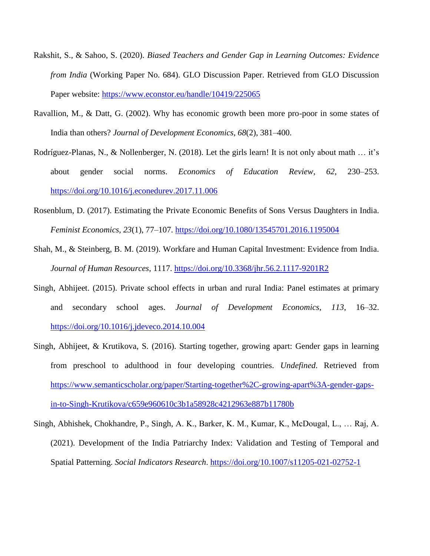- Rakshit, S., & Sahoo, S. (2020). *Biased Teachers and Gender Gap in Learning Outcomes: Evidence from India* (Working Paper No. 684). GLO Discussion Paper. Retrieved from GLO Discussion Paper website:<https://www.econstor.eu/handle/10419/225065>
- Ravallion, M., & Datt, G. (2002). Why has economic growth been more pro-poor in some states of India than others? *Journal of Development Economics*, *68*(2), 381–400.
- Rodríguez-Planas, N., & Nollenberger, N. (2018). Let the girls learn! It is not only about math … it's about gender social norms. *Economics of Education Review*, *62*, 230–253. <https://doi.org/10.1016/j.econedurev.2017.11.006>
- Rosenblum, D. (2017). Estimating the Private Economic Benefits of Sons Versus Daughters in India. *Feminist Economics*, *23*(1), 77–107.<https://doi.org/10.1080/13545701.2016.1195004>
- Shah, M., & Steinberg, B. M. (2019). Workfare and Human Capital Investment: Evidence from India. *Journal of Human Resources*, 1117.<https://doi.org/10.3368/jhr.56.2.1117-9201R2>
- Singh, Abhijeet. (2015). Private school effects in urban and rural India: Panel estimates at primary and secondary school ages. *Journal of Development Economics*, *113*, 16–32. <https://doi.org/10.1016/j.jdeveco.2014.10.004>
- Singh, Abhijeet, & Krutikova, S. (2016). Starting together, growing apart: Gender gaps in learning from preschool to adulthood in four developing countries. *Undefined*. Retrieved from [https://www.semanticscholar.org/paper/Starting-together%2C-growing-apart%3A-gender-gaps](https://www.semanticscholar.org/paper/Starting-together%2C-growing-apart%3A-gender-gaps-in-to-Singh-Krutikova/c659e960610c3b1a58928c4212963e887b11780b)[in-to-Singh-Krutikova/c659e960610c3b1a58928c4212963e887b11780b](https://www.semanticscholar.org/paper/Starting-together%2C-growing-apart%3A-gender-gaps-in-to-Singh-Krutikova/c659e960610c3b1a58928c4212963e887b11780b)
- Singh, Abhishek, Chokhandre, P., Singh, A. K., Barker, K. M., Kumar, K., McDougal, L., … Raj, A. (2021). Development of the India Patriarchy Index: Validation and Testing of Temporal and Spatial Patterning. *Social Indicators Research*.<https://doi.org/10.1007/s11205-021-02752-1>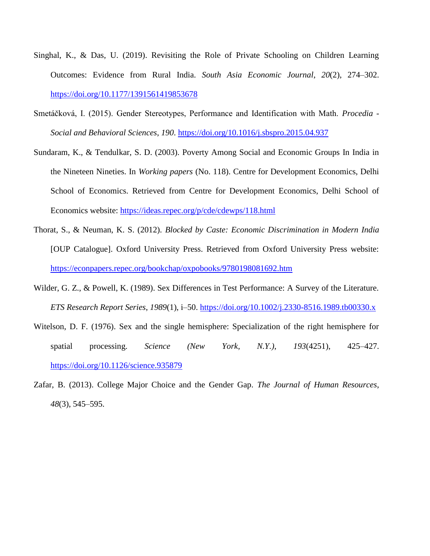- Singhal, K., & Das, U. (2019). Revisiting the Role of Private Schooling on Children Learning Outcomes: Evidence from Rural India. *South Asia Economic Journal*, *20*(2), 274–302. <https://doi.org/10.1177/1391561419853678>
- Smetáčková, I. (2015). Gender Stereotypes, Performance and Identification with Math. *Procedia - Social and Behavioral Sciences*, *190*.<https://doi.org/10.1016/j.sbspro.2015.04.937>
- Sundaram, K., & Tendulkar, S. D. (2003). Poverty Among Social and Economic Groups In India in the Nineteen Nineties. In *Working papers* (No. 118). Centre for Development Economics, Delhi School of Economics. Retrieved from Centre for Development Economics, Delhi School of Economics website:<https://ideas.repec.org/p/cde/cdewps/118.html>
- Thorat, S., & Neuman, K. S. (2012). *Blocked by Caste: Economic Discrimination in Modern India* [OUP Catalogue]. Oxford University Press. Retrieved from Oxford University Press website: <https://econpapers.repec.org/bookchap/oxpobooks/9780198081692.htm>
- Wilder, G. Z., & Powell, K. (1989). Sex Differences in Test Performance: A Survey of the Literature. *ETS Research Report Series*, *1989*(1), i–50.<https://doi.org/10.1002/j.2330-8516.1989.tb00330.x>
- Witelson, D. F. (1976). Sex and the single hemisphere: Specialization of the right hemisphere for spatial processing. *Science (New York, N.Y.)*, *193*(4251), 425–427. <https://doi.org/10.1126/science.935879>
- Zafar, B. (2013). College Major Choice and the Gender Gap. *The Journal of Human Resources*, *48*(3), 545–595.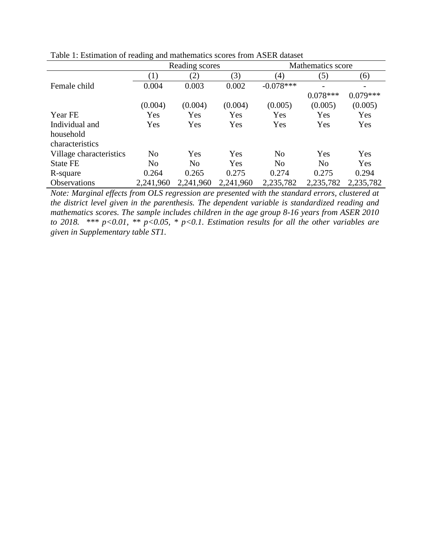|                         | ັ                | Reading scores |           |                | Mathematics score |            |
|-------------------------|------------------|----------------|-----------|----------------|-------------------|------------|
|                         | $\left(1\right)$ | (2)            | (3)       | (4)            | (5)               | (6)        |
| Female child            | 0.004            | 0.003          | 0.002     | $-0.078***$    |                   |            |
|                         |                  |                |           |                | $0.078***$        | $0.079***$ |
|                         | (0.004)          | (0.004)        | (0.004)   | (0.005)        | (0.005)           | (0.005)    |
| Year FE                 | Yes              | Yes            | Yes       | Yes            | Yes               | Yes        |
| Individual and          | Yes              | Yes            | Yes       | Yes            | Yes               | Yes        |
| household               |                  |                |           |                |                   |            |
| characteristics         |                  |                |           |                |                   |            |
| Village characteristics | N <sub>o</sub>   | Yes            | Yes       | N <sub>o</sub> | Yes               | Yes        |
| <b>State FE</b>         | N <sub>o</sub>   | N <sub>0</sub> | Yes       | N <sub>o</sub> | N <sub>o</sub>    | Yes        |
| R-square                | 0.264            | 0.265          | 0.275     | 0.274          | 0.275             | 0.294      |
| Observations            | 2,241,960        | 2,241,960      | 2,241,960 | 2,235,782      | 2,235,782         | 2,235,782  |

Table 1: Estimation of reading and mathematics scores from ASER dataset

*Note: Marginal effects from OLS regression are presented with the standard errors, clustered at the district level given in the parenthesis. The dependent variable is standardized reading and mathematics scores. The sample includes children in the age group 8-16 years from ASER 2010 to 2018. \*\*\* p<0.01, \*\* p<0.05, \* p<0.1. Estimation results for all the other variables are given in Supplementary table ST1.*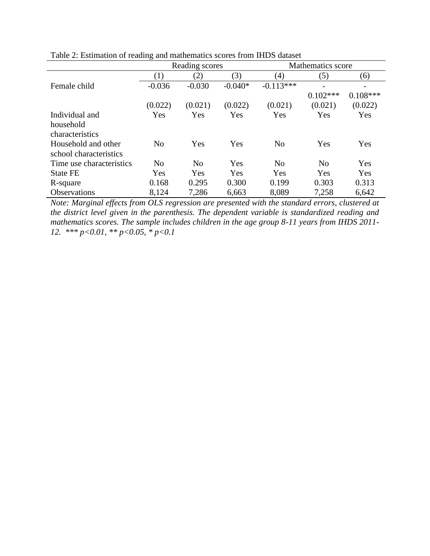|                          | ັ                 | Reading scores    |           | Mathematics score |                          |                          |  |
|--------------------------|-------------------|-------------------|-----------|-------------------|--------------------------|--------------------------|--|
|                          | $\left( 1\right)$ | $\left( 2\right)$ | (3)       | (4)               | (5)                      | (6)                      |  |
| Female child             | $-0.036$          | $-0.030$          | $-0.040*$ | $-0.113***$       | $\overline{\phantom{0}}$ | $\overline{\phantom{a}}$ |  |
|                          |                   |                   |           |                   | $0.102***$               | $0.108***$               |  |
|                          | (0.022)           | (0.021)           | (0.022)   | (0.021)           | (0.021)                  | (0.022)                  |  |
| Individual and           | Yes               | Yes               | Yes       | Yes               | Yes                      | Yes                      |  |
| household                |                   |                   |           |                   |                          |                          |  |
| characteristics          |                   |                   |           |                   |                          |                          |  |
| Household and other      | N <sub>0</sub>    | Yes               | Yes       | N <sub>o</sub>    | Yes                      | Yes                      |  |
| school characteristics   |                   |                   |           |                   |                          |                          |  |
| Time use characteristics | N <sub>0</sub>    | N <sub>0</sub>    | Yes       | N <sub>0</sub>    | No                       | Yes                      |  |
| <b>State FE</b>          | Yes               | Yes               | Yes       | Yes               | Yes                      | Yes                      |  |
| R-square                 | 0.168             | 0.295             | 0.300     | 0.199             | 0.303                    | 0.313                    |  |
| Observations             | 8,124             | 7,286             | 6,663     | 8,089             | 7,258                    | 6,642                    |  |

Table 2: Estimation of reading and mathematics scores from IHDS dataset

*Note: Marginal effects from OLS regression are presented with the standard errors, clustered at the district level given in the parenthesis. The dependent variable is standardized reading and mathematics scores. The sample includes children in the age group 8-11 years from IHDS 2011- 12. \*\*\* p<0.01, \*\* p<0.05, \* p<0.1*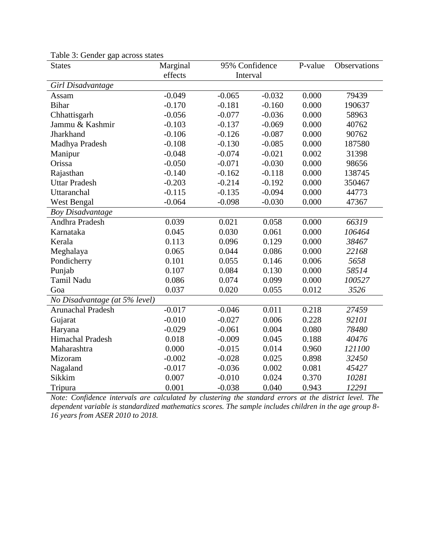| <b>States</b>                 | Marginal | 95% Confidence |          | P-value | Observations |
|-------------------------------|----------|----------------|----------|---------|--------------|
|                               | effects  | Interval       |          |         |              |
| Girl Disadvantage             |          |                |          |         |              |
| Assam                         | $-0.049$ | $-0.065$       | $-0.032$ | 0.000   | 79439        |
| <b>Bihar</b>                  | $-0.170$ | $-0.181$       | $-0.160$ | 0.000   | 190637       |
| Chhattisgarh                  | $-0.056$ | $-0.077$       | $-0.036$ | 0.000   | 58963        |
| Jammu & Kashmir               | $-0.103$ | $-0.137$       | $-0.069$ | 0.000   | 40762        |
| Jharkhand                     | $-0.106$ | $-0.126$       | $-0.087$ | 0.000   | 90762        |
| Madhya Pradesh                | $-0.108$ | $-0.130$       | $-0.085$ | 0.000   | 187580       |
| Manipur                       | $-0.048$ | $-0.074$       | $-0.021$ | 0.002   | 31398        |
| Orissa                        | $-0.050$ | $-0.071$       | $-0.030$ | 0.000   | 98656        |
| Rajasthan                     | $-0.140$ | $-0.162$       | $-0.118$ | 0.000   | 138745       |
| <b>Uttar Pradesh</b>          | $-0.203$ | $-0.214$       | $-0.192$ | 0.000   | 350467       |
| Uttaranchal                   | $-0.115$ | $-0.135$       | $-0.094$ | 0.000   | 44773        |
| <b>West Bengal</b>            | $-0.064$ | $-0.098$       | $-0.030$ | 0.000   | 47367        |
| <b>Boy Disadvantage</b>       |          |                |          |         |              |
| Andhra Pradesh                | 0.039    | 0.021          | 0.058    | 0.000   | 66319        |
| Karnataka                     | 0.045    | 0.030          | 0.061    | 0.000   | 106464       |
| Kerala                        | 0.113    | 0.096          | 0.129    | 0.000   | 38467        |
| Meghalaya                     | 0.065    | 0.044          | 0.086    | 0.000   | 22168        |
| Pondicherry                   | 0.101    | 0.055          | 0.146    | 0.006   | 5658         |
| Punjab                        | 0.107    | 0.084          | 0.130    | 0.000   | 58514        |
| <b>Tamil Nadu</b>             | 0.086    | 0.074          | 0.099    | 0.000   | 100527       |
| Goa                           | 0.037    | 0.020          | 0.055    | 0.012   | 3526         |
| No Disadvantage (at 5% level) |          |                |          |         |              |
| <b>Arunachal Pradesh</b>      | $-0.017$ | $-0.046$       | 0.011    | 0.218   | 27459        |
| Gujarat                       | $-0.010$ | $-0.027$       | 0.006    | 0.228   | 92101        |
| Haryana                       | $-0.029$ | $-0.061$       | 0.004    | 0.080   | 78480        |
| Himachal Pradesh              | 0.018    | $-0.009$       | 0.045    | 0.188   | 40476        |
| Maharashtra                   | 0.000    | $-0.015$       | 0.014    | 0.960   | 121100       |
| Mizoram                       | $-0.002$ | $-0.028$       | 0.025    | 0.898   | 32450        |
| Nagaland                      | $-0.017$ | $-0.036$       | 0.002    | 0.081   | 45427        |
| Sikkim                        | 0.007    | $-0.010$       | 0.024    | 0.370   | 10281        |
| Tripura                       | 0.001    | $-0.038$       | 0.040    | 0.943   | 12291        |

Table 3: Gender gap across states

*Note: Confidence intervals are calculated by clustering the standard errors at the district level. The dependent variable is standardized mathematics scores. The sample includes children in the age group 8- 16 years from ASER 2010 to 2018.*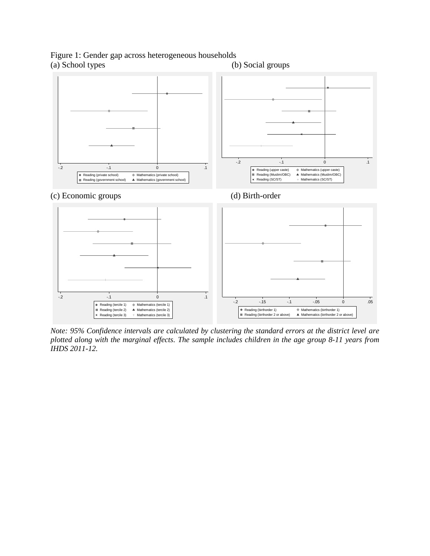# Figure 1: Gender gap across heterogeneous households (a) School types (b) Social groups



*Note: 95% Confidence intervals are calculated by clustering the standard errors at the district level are plotted along with the marginal effects. The sample includes children in the age group 8-11 years from IHDS 2011-12.*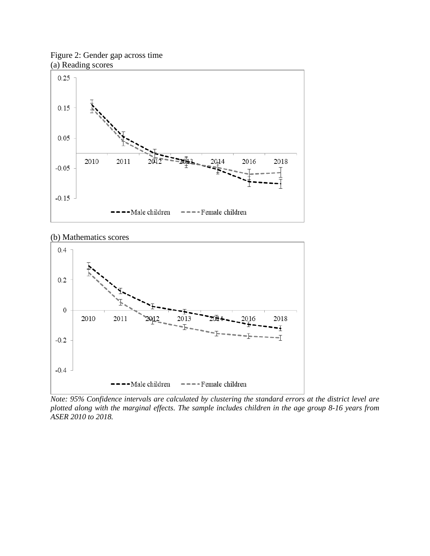Figure 2: Gender gap across time (a) Reading scores



(b) Mathematics scores



*Note: 95% Confidence intervals are calculated by clustering the standard errors at the district level are plotted along with the marginal effects. The sample includes children in the age group 8-16 years from ASER 2010 to 2018.*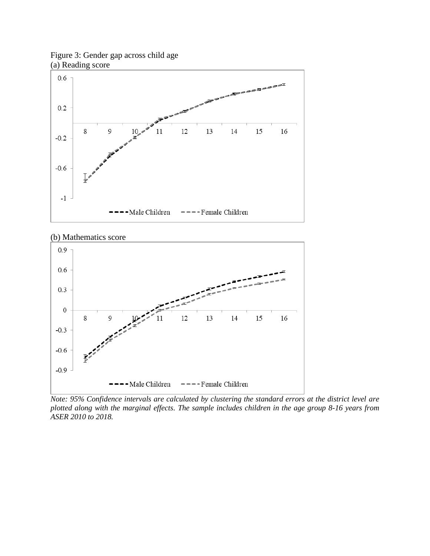

# Figure 3: Gender gap across child age (a) Reading score





*Note: 95% Confidence intervals are calculated by clustering the standard errors at the district level are plotted along with the marginal effects. The sample includes children in the age group 8-16 years from ASER 2010 to 2018.*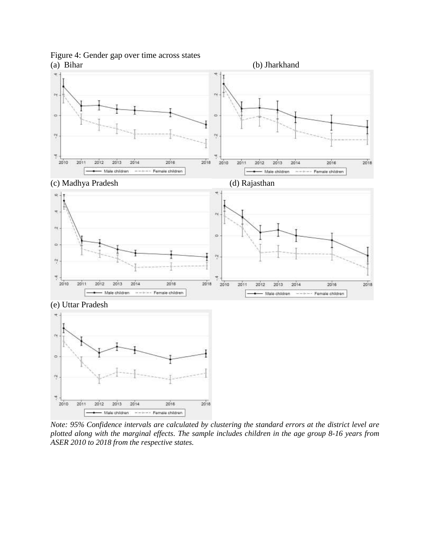Figure 4: Gender gap over time across states



*Note: 95% Confidence intervals are calculated by clustering the standard errors at the district level are plotted along with the marginal effects. The sample includes children in the age group 8-16 years from ASER 2010 to 2018 from the respective states.* 

- Male children ------ Female children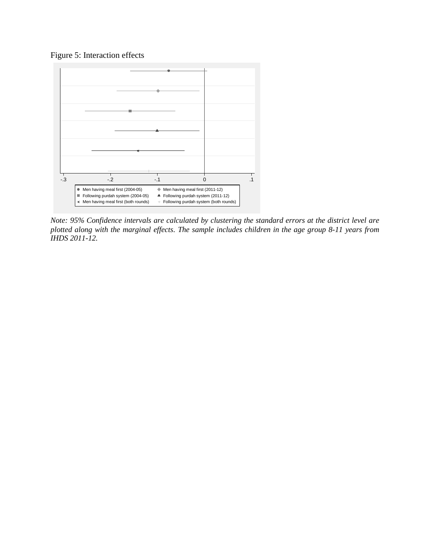Figure 5: Interaction effects



*Note: 95% Confidence intervals are calculated by clustering the standard errors at the district level are plotted along with the marginal effects. The sample includes children in the age group 8-11 years from IHDS 2011-12.*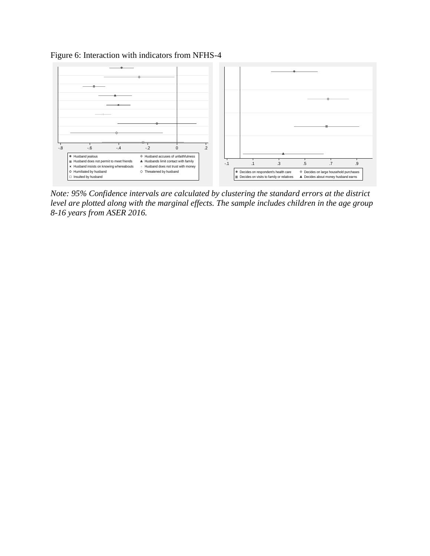Figure 6: Interaction with indicators from NFHS-4



*Note: 95% Confidence intervals are calculated by clustering the standard errors at the district level are plotted along with the marginal effects. The sample includes children in the age group 8-16 years from ASER 2016.*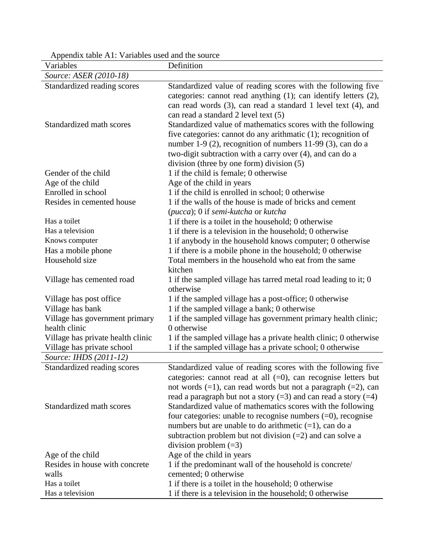| Variables                         | Definition                                                                                  |
|-----------------------------------|---------------------------------------------------------------------------------------------|
| Source: ASER (2010-18)            |                                                                                             |
| Standardized reading scores       | Standardized value of reading scores with the following five                                |
|                                   | categories: cannot read anything (1); can identify letters (2),                             |
|                                   | can read words (3), can read a standard 1 level text (4), and                               |
|                                   | can read a standard 2 level text (5)                                                        |
| Standardized math scores          | Standardized value of mathematics scores with the following                                 |
|                                   | five categories: cannot do any arithmatic (1); recognition of                               |
|                                   | number 1-9 (2), recognition of numbers 11-99 (3), can do a                                  |
|                                   | two-digit subtraction with a carry over (4), and can do a                                   |
|                                   | division (three by one form) division (5)                                                   |
| Gender of the child               | 1 if the child is female; 0 otherwise                                                       |
| Age of the child                  | Age of the child in years                                                                   |
| Enrolled in school                | 1 if the child is enrolled in school; 0 otherwise                                           |
| Resides in cemented house         | 1 if the walls of the house is made of bricks and cement                                    |
| Has a toilet                      | (pucca); 0 if semi-kutcha or kutcha<br>1 if there is a toilet in the household; 0 otherwise |
| Has a television                  | 1 if there is a television in the household; 0 otherwise                                    |
| Knows computer                    | 1 if anybody in the household knows computer; 0 otherwise                                   |
| Has a mobile phone                | 1 if there is a mobile phone in the household; 0 otherwise                                  |
| Household size                    | Total members in the household who eat from the same                                        |
|                                   | kitchen                                                                                     |
| Village has cemented road         | 1 if the sampled village has tarred metal road leading to it; 0                             |
|                                   | otherwise                                                                                   |
| Village has post office           | 1 if the sampled village has a post-office; 0 otherwise                                     |
| Village has bank                  | 1 if the sampled village a bank; 0 otherwise                                                |
| Village has government primary    | 1 if the sampled village has government primary health clinic;                              |
| health clinic                     | 0 otherwise                                                                                 |
| Village has private health clinic | 1 if the sampled village has a private health clinic; 0 otherwise                           |
| Village has private school        | 1 if the sampled village has a private school; 0 otherwise                                  |
| Source: IHDS (2011-12)            |                                                                                             |
| Standardized reading scores       | Standardized value of reading scores with the following five                                |
|                                   | categories: cannot read at all $(=0)$ , can recognise letters but                           |
|                                   | not words $(=1)$ , can read words but not a paragraph $(=2)$ , can                          |
|                                   | read a paragraph but not a story $(=3)$ and can read a story $(=4)$                         |
| Standardized math scores          | Standardized value of mathematics scores with the following                                 |
|                                   | four categories: unable to recognise numbers $(=0)$ , recognise                             |
|                                   | numbers but are unable to do arithmetic $(=1)$ , can do a                                   |
|                                   | subtraction problem but not division $(=2)$ and can solve a                                 |
|                                   | division problem $(=3)$                                                                     |
| Age of the child                  | Age of the child in years                                                                   |
| Resides in house with concrete    | 1 if the predominant wall of the household is concrete/                                     |
| walls<br>Has a toilet             | cemented; 0 otherwise                                                                       |
|                                   | 1 if there is a toilet in the household; 0 otherwise                                        |
| Has a television                  | 1 if there is a television in the household; 0 otherwise                                    |

Appendix table A1: Variables used and the source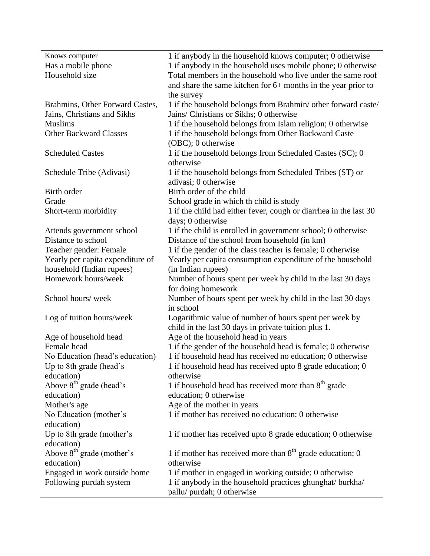| Knows computer                      | 1 if anybody in the household knows computer; 0 otherwise         |
|-------------------------------------|-------------------------------------------------------------------|
| Has a mobile phone                  | 1 if anybody in the household uses mobile phone; 0 otherwise      |
| Household size                      | Total members in the household who live under the same roof       |
|                                     | and share the same kitchen for $6+$ months in the year prior to   |
|                                     | the survey                                                        |
| Brahmins, Other Forward Castes,     | 1 if the household belongs from Brahmin/ other forward caste/     |
| Jains, Christians and Sikhs         | Jains/ Christians or Sikhs; 0 otherwise                           |
| <b>Muslims</b>                      | 1 if the household belongs from Islam religion; 0 otherwise       |
| <b>Other Backward Classes</b>       | 1 if the household belongs from Other Backward Caste              |
|                                     | (OBC); 0 otherwise                                                |
| <b>Scheduled Castes</b>             | 1 if the household belongs from Scheduled Castes (SC); 0          |
|                                     | otherwise                                                         |
|                                     |                                                                   |
| Schedule Tribe (Adivasi)            | 1 if the household belongs from Scheduled Tribes (ST) or          |
|                                     | adivasi; 0 otherwise                                              |
| Birth order                         | Birth order of the child                                          |
| Grade                               | School grade in which th child is study                           |
| Short-term morbidity                | 1 if the child had either fever, cough or diarrhea in the last 30 |
|                                     | days; 0 otherwise                                                 |
| Attends government school           | 1 if the child is enrolled in government school; 0 otherwise      |
| Distance to school                  | Distance of the school from household (in km)                     |
| Teacher gender: Female              | 1 if the gender of the class teacher is female; 0 otherwise       |
| Yearly per capita expenditure of    | Yearly per capita consumption expenditure of the household        |
| household (Indian rupees)           | (in Indian rupees)                                                |
| Homework hours/week                 | Number of hours spent per week by child in the last 30 days       |
|                                     | for doing homework                                                |
| School hours/week                   | Number of hours spent per week by child in the last 30 days       |
|                                     | in school                                                         |
| Log of tuition hours/week           | Logarithmic value of number of hours spent per week by            |
|                                     | child in the last 30 days in private tuition plus 1.              |
| Age of household head               | Age of the household head in years                                |
| Female head                         | 1 if the gender of the household head is female; 0 otherwise      |
| No Education (head's education)     | 1 if household head has received no education; 0 otherwise        |
| Up to 8th grade (head's             | 1 if household head has received upto 8 grade education; 0        |
| education)                          | otherwise                                                         |
| Above 8 <sup>th</sup> grade (head's | 1 if household head has received more than $8th$ grade            |
| education)                          | education; 0 otherwise                                            |
| Mother's age                        | Age of the mother in years                                        |
| No Education (mother's              | 1 if mother has received no education; 0 otherwise                |
| education)                          |                                                                   |
| Up to 8th grade (mother's           | 1 if mother has received upto 8 grade education; 0 otherwise      |
| education)                          |                                                                   |
| Above $8th$ grade (mother's         | 1 if mother has received more than $8th$ grade education; 0       |
| education)                          | otherwise                                                         |
| Engaged in work outside home        | 1 if mother in engaged in working outside; 0 otherwise            |
| Following purdah system             | 1 if anybody in the household practices ghunghat/ burkha/         |
|                                     | pallu/ purdah; 0 otherwise                                        |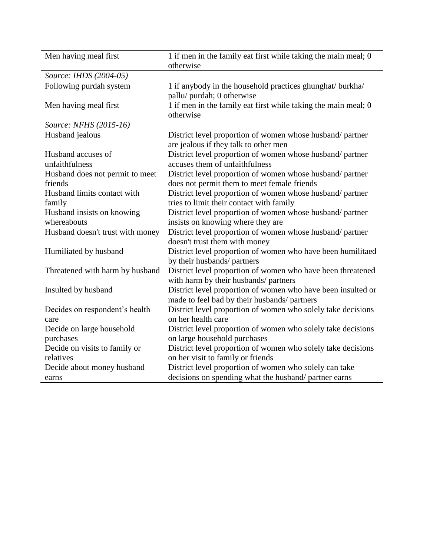| Men having meal first                      | 1 if men in the family eat first while taking the main meal; 0<br>otherwise                             |
|--------------------------------------------|---------------------------------------------------------------------------------------------------------|
| Source: IHDS (2004-05)                     |                                                                                                         |
| Following purdah system                    | 1 if anybody in the household practices ghunghat/ burkha/<br>pallu/ purdah; 0 otherwise                 |
| Men having meal first                      | 1 if men in the family eat first while taking the main meal; 0<br>otherwise                             |
| Source: NFHS (2015-16)                     |                                                                                                         |
| Husband jealous                            | District level proportion of women whose husband/partner<br>are jealous if they talk to other men       |
| Husband accuses of<br>unfaithfulness       | District level proportion of women whose husband/partner<br>accuses them of unfaithfulness              |
| Husband does not permit to meet<br>friends | District level proportion of women whose husband/partner<br>does not permit them to meet female friends |
| Husband limits contact with                | District level proportion of women whose husband/ partner                                               |
| family                                     | tries to limit their contact with family                                                                |
| Husband insists on knowing                 | District level proportion of women whose husband/partner                                                |
| whereabouts                                | insists on knowing where they are                                                                       |
| Husband doesn't trust with money           | District level proportion of women whose husband/ partner<br>doesn't trust them with money              |
| Humiliated by husband                      | District level proportion of women who have been humilitaed<br>by their husbands/ partners              |
| Threatened with harm by husband            | District level proportion of women who have been threatened<br>with harm by their husbands/ partners    |
| Insulted by husband                        | District level proportion of women who have been insulted or                                            |
|                                            | made to feel bad by their husbands/ partners                                                            |
| Decides on respondent's health             | District level proportion of women who solely take decisions                                            |
| care                                       | on her health care                                                                                      |
| Decide on large household                  | District level proportion of women who solely take decisions                                            |
| purchases                                  | on large household purchases                                                                            |
| Decide on visits to family or              | District level proportion of women who solely take decisions                                            |
| relatives                                  | on her visit to family or friends                                                                       |
| Decide about money husband                 | District level proportion of women who solely can take                                                  |
| earns                                      | decisions on spending what the husband/partner earns                                                    |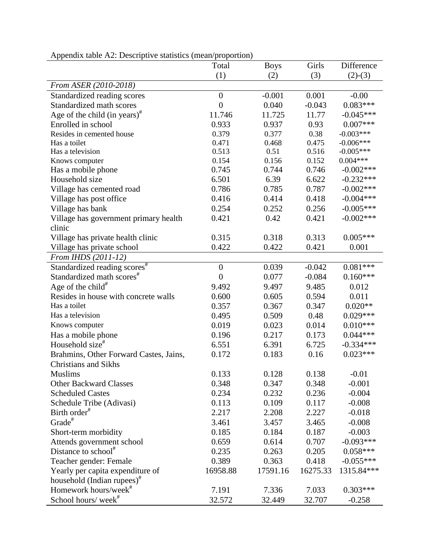|                                                                            | Total            | <b>Boys</b> | Girls    | Difference   |
|----------------------------------------------------------------------------|------------------|-------------|----------|--------------|
|                                                                            | (1)              | (2)         | (3)      | $(2)-(3)$    |
| From ASER (2010-2018)                                                      |                  |             |          |              |
| Standardized reading scores                                                | $\boldsymbol{0}$ | $-0.001$    | 0.001    | $-0.00$      |
| Standardized math scores                                                   | $\boldsymbol{0}$ | 0.040       | $-0.043$ | $0.083***$   |
| Age of the child (in years) <sup><math>#</math></sup>                      | 11.746           | 11.725      | 11.77    | $-0.045***$  |
| Enrolled in school                                                         | 0.933            | 0.937       | 0.93     | $0.007***$   |
| Resides in cemented house                                                  | 0.379            | 0.377       | 0.38     | $-0.003***$  |
| Has a toilet                                                               | 0.471            | 0.468       | 0.475    | $-0.006***$  |
| Has a television                                                           | 0.513            | 0.51        | 0.516    | $-0.005***$  |
| Knows computer                                                             | 0.154            | 0.156       | 0.152    | $0.004***$   |
| Has a mobile phone                                                         | 0.745            | 0.744       | 0.746    | $-0.002$ *** |
| Household size                                                             | 6.501            | 6.39        | 6.622    | $-0.232***$  |
| Village has cemented road                                                  | 0.786            | 0.785       | 0.787    | $-0.002***$  |
| Village has post office                                                    | 0.416            | 0.414       | 0.418    | $-0.004***$  |
| Village has bank                                                           | 0.254            | 0.252       | 0.256    | $-0.005***$  |
| Village has government primary health                                      | 0.421            | 0.42        | 0.421    | $-0.002***$  |
| clinic                                                                     |                  |             |          |              |
| Village has private health clinic                                          | 0.315            | 0.318       | 0.313    | $0.005***$   |
| Village has private school                                                 | 0.422            | 0.422       | 0.421    | 0.001        |
| From IHDS (2011-12)                                                        |                  |             |          |              |
| Standardized reading scores <sup>#</sup>                                   | $\boldsymbol{0}$ | 0.039       | $-0.042$ | $0.081***$   |
| Standardized math scores <sup>#</sup>                                      | $\boldsymbol{0}$ | 0.077       | $-0.084$ | $0.160***$   |
| Age of the child <sup>#</sup>                                              | 9.492            | 9.497       | 9.485    | 0.012        |
| Resides in house with concrete walls                                       | 0.600            | 0.605       | 0.594    | 0.011        |
| Has a toilet                                                               | 0.357            | 0.367       | 0.347    | $0.020**$    |
| Has a television                                                           | 0.495            | 0.509       | 0.48     | $0.029***$   |
| Knows computer                                                             | 0.019            | 0.023       | 0.014    | $0.010***$   |
| Has a mobile phone                                                         | 0.196            | 0.217       | 0.173    | $0.044***$   |
| Household size <sup>#</sup>                                                | 6.551            | 6.391       | 6.725    | $-0.334***$  |
| Brahmins, Other Forward Castes, Jains,                                     | 0.172            | 0.183       | 0.16     | $0.023***$   |
| <b>Christians and Sikhs</b>                                                |                  |             |          |              |
| Muslims                                                                    | 0.133            | 0.128       | 0.138    | $-0.01$      |
| <b>Other Backward Classes</b>                                              | 0.348            | 0.347       | 0.348    | $-0.001$     |
| <b>Scheduled Castes</b>                                                    | 0.234            | 0.232       | 0.236    | $-0.004$     |
| Schedule Tribe (Adivasi)                                                   | 0.113            | 0.109       | 0.117    | $-0.008$     |
| Birth order <sup>#</sup>                                                   | 2.217            | 2.208       | 2.227    | $-0.018$     |
| Grade <sup>#</sup>                                                         | 3.461            | 3.457       | 3.465    | $-0.008$     |
| Short-term morbidity                                                       | 0.185            | 0.184       | 0.187    | $-0.003$     |
| Attends government school                                                  | 0.659            | 0.614       | 0.707    | $-0.093***$  |
| Distance to school <sup>#</sup>                                            | 0.235            | 0.263       | 0.205    | $0.058***$   |
| Teacher gender: Female                                                     | 0.389            | 0.363       | 0.418    | $-0.055***$  |
|                                                                            | 16958.88         | 17591.16    | 16275.33 | 1315.84***   |
| Yearly per capita expenditure of                                           |                  |             |          |              |
| household (Indian rupees) <sup>#</sup><br>Homework hours/week <sup>#</sup> | 7.191            | 7.336       | 7.033    | $0.303***$   |
| School hours/week <sup>#</sup>                                             | 32.572           | 32.449      | 32.707   | $-0.258$     |
|                                                                            |                  |             |          |              |

| Appendix table A2: Descriptive statistics (mean/proportion) |  |  |
|-------------------------------------------------------------|--|--|
|-------------------------------------------------------------|--|--|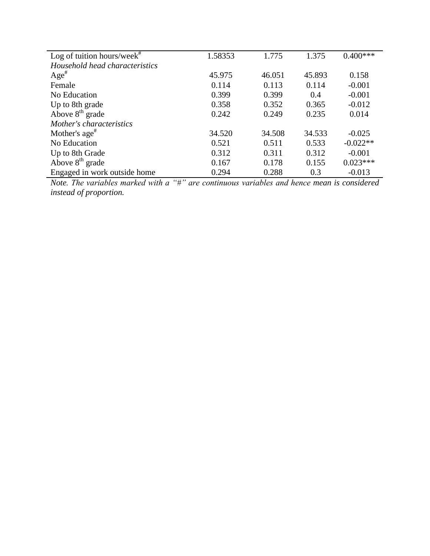| Log of tuition hours/week $*$  | 1.58353 | 1.775  | 1.375  | $0.400***$ |
|--------------------------------|---------|--------|--------|------------|
| Household head characteristics |         |        |        |            |
| $Age^{\#}$                     | 45.975  | 46.051 | 45.893 | 0.158      |
| Female                         | 0.114   | 0.113  | 0.114  | $-0.001$   |
| No Education                   | 0.399   | 0.399  | 0.4    | $-0.001$   |
| Up to 8th grade                | 0.358   | 0.352  | 0.365  | $-0.012$   |
| Above $8th$ grade              | 0.242   | 0.249  | 0.235  | 0.014      |
| Mother's characteristics       |         |        |        |            |
| Mother's $age^{\#}$            | 34.520  | 34.508 | 34.533 | $-0.025$   |
| No Education                   | 0.521   | 0.511  | 0.533  | $-0.022**$ |
| Up to 8th Grade                | 0.312   | 0.311  | 0.312  | $-0.001$   |
| Above $8th$ grade              | 0.167   | 0.178  | 0.155  | $0.023***$ |
| Engaged in work outside home   | 0.294   | 0.288  | 0.3    | $-0.013$   |

*Note. The variables marked with a "#" are continuous variables and hence mean is considered instead of proportion.*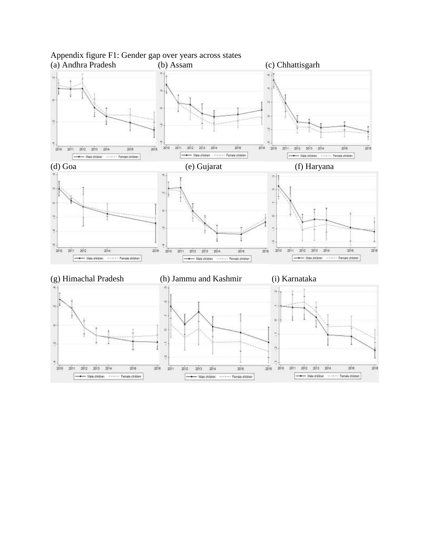

# Appendix figure F1: Gender gap over years across states<br>(a) Andhra Pradesh (b) Assam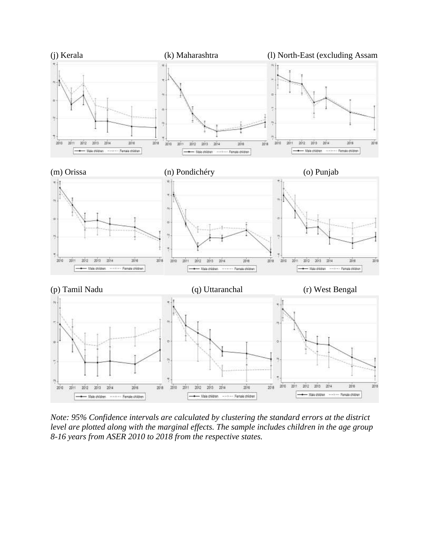

*Note: 95% Confidence intervals are calculated by clustering the standard errors at the district level are plotted along with the marginal effects. The sample includes children in the age group 8-16 years from ASER 2010 to 2018 from the respective states.*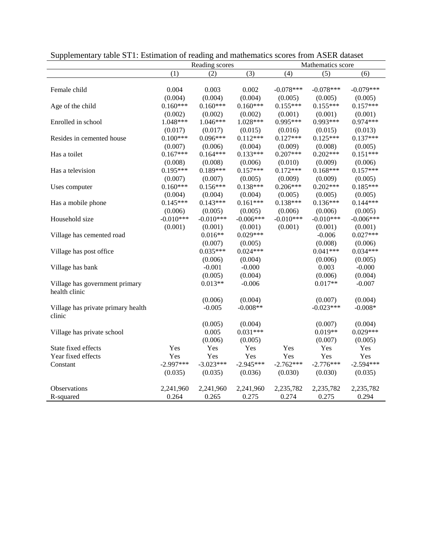|                                    | Reading scores |             |                  | Mathematics score |             |             |  |
|------------------------------------|----------------|-------------|------------------|-------------------|-------------|-------------|--|
|                                    | (1)            | (2)         | $\overline{(3)}$ | (4)               | (5)         | (6)         |  |
|                                    |                |             |                  |                   |             |             |  |
| Female child                       | 0.004          | 0.003       | 0.002            | $-0.078***$       | $-0.078***$ | $-0.079***$ |  |
|                                    | (0.004)        | (0.004)     | (0.004)          | (0.005)           | (0.005)     | (0.005)     |  |
| Age of the child                   | $0.160***$     | $0.160***$  | $0.160***$       | $0.155***$        | $0.155***$  | $0.157***$  |  |
|                                    | (0.002)        | (0.002)     | (0.002)          | (0.001)           | (0.001)     | (0.001)     |  |
| Enrolled in school                 | 1.048***       | $1.046***$  | 1.028***         | 0.995***          | $0.993***$  | $0.974***$  |  |
|                                    | (0.017)        | (0.017)     | (0.015)          | (0.016)           | (0.015)     | (0.013)     |  |
| Resides in cemented house          | $0.100***$     | $0.096***$  | $0.112***$       | $0.127***$        | $0.125***$  | $0.137***$  |  |
|                                    | (0.007)        | (0.006)     | (0.004)          | (0.009)           | (0.008)     | (0.005)     |  |
| Has a toilet                       | $0.167***$     | $0.164***$  | $0.133***$       | $0.207***$        | $0.202***$  | $0.151***$  |  |
|                                    | (0.008)        | (0.008)     | (0.006)          | (0.010)           | (0.009)     | (0.006)     |  |
| Has a television                   | $0.195***$     | $0.189***$  | $0.157***$       | $0.172***$        | $0.168***$  | $0.157***$  |  |
|                                    | (0.007)        | (0.007)     | (0.005)          | (0.009)           | (0.009)     | (0.005)     |  |
| Uses computer                      | $0.160***$     | $0.156***$  | $0.138***$       | $0.206***$        | $0.202***$  | $0.185***$  |  |
|                                    | (0.004)        | (0.004)     | (0.004)          | (0.005)           | (0.005)     | (0.005)     |  |
| Has a mobile phone                 | $0.145***$     | $0.143***$  | $0.161***$       | $0.138***$        | $0.136***$  | $0.144***$  |  |
|                                    | (0.006)        | (0.005)     | (0.005)          | (0.006)           | (0.006)     | (0.005)     |  |
| Household size                     | $-0.010***$    | $-0.010***$ | $-0.006***$      | $-0.010***$       | $-0.010***$ | $-0.006***$ |  |
|                                    | (0.001)        | (0.001)     | (0.001)          | (0.001)           | (0.001)     | (0.001)     |  |
| Village has cemented road          |                | $0.016**$   | $0.029***$       |                   | $-0.006$    | $0.027***$  |  |
|                                    |                | (0.007)     | (0.005)          |                   | (0.008)     | (0.006)     |  |
| Village has post office            |                | $0.035***$  | $0.024***$       |                   | $0.041***$  | $0.034***$  |  |
|                                    |                | (0.006)     | (0.004)          |                   | (0.006)     | (0.005)     |  |
| Village has bank                   |                | $-0.001$    | $-0.000$         |                   | 0.003       | $-0.000$    |  |
|                                    |                | (0.005)     | (0.004)          |                   | (0.006)     | (0.004)     |  |
| Village has government primary     |                | $0.013**$   | $-0.006$         |                   | $0.017**$   | $-0.007$    |  |
| health clinic                      |                |             |                  |                   |             |             |  |
|                                    |                | (0.006)     | (0.004)          |                   | (0.007)     | (0.004)     |  |
| Village has private primary health |                | $-0.005$    | $-0.008**$       |                   | $-0.023***$ | $-0.008*$   |  |
| clinic                             |                |             |                  |                   |             |             |  |
|                                    |                | (0.005)     | (0.004)          |                   | (0.007)     | (0.004)     |  |
| Village has private school         |                | 0.005       | $0.031***$       |                   | $0.019**$   | $0.029***$  |  |
|                                    |                | (0.006)     | (0.005)          |                   | (0.007)     | (0.005)     |  |
| State fixed effects                | Yes            | Yes         | Yes              | Yes               | Yes         | Yes         |  |
| Year fixed effects                 | Yes            | Yes         | Yes              | Yes               | Yes         | Yes         |  |
| Constant                           | $-2.997***$    | $-3.023***$ | $-2.945***$      | $-2.762***$       | $-2.776***$ | $-2.594***$ |  |
|                                    | (0.035)        | (0.035)     | (0.036)          | (0.030)           | (0.030)     | (0.035)     |  |
| Observations                       | 2,241,960      | 2,241,960   | 2,241,960        | 2,235,782         | 2,235,782   | 2,235,782   |  |
| R-squared                          | 0.264          | 0.265       | 0.275            | 0.274             | 0.275       | 0.294       |  |

Supplementary table ST1: Estimation of reading and mathematics scores from ASER dataset